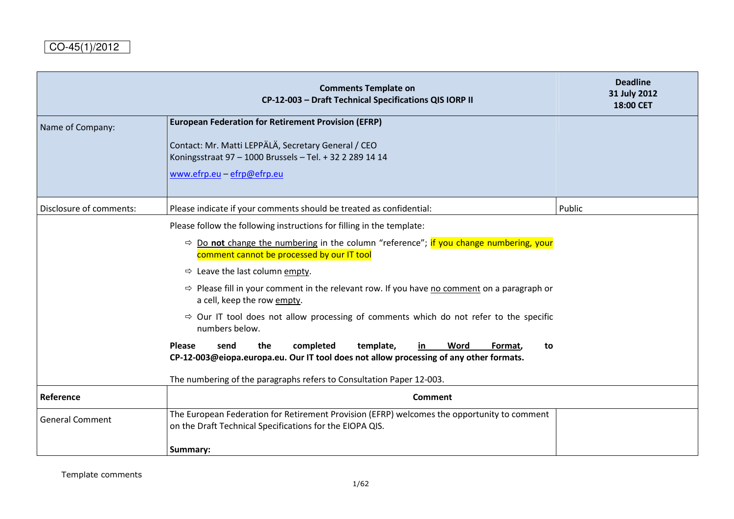|                         | <b>Comments Template on</b><br>CP-12-003 - Draft Technical Specifications QIS IORP II                                                                                    | <b>Deadline</b><br>31 July 2012<br>18:00 CET |
|-------------------------|--------------------------------------------------------------------------------------------------------------------------------------------------------------------------|----------------------------------------------|
| Name of Company:        | <b>European Federation for Retirement Provision (EFRP)</b>                                                                                                               |                                              |
|                         | Contact: Mr. Matti LEPPÄLÄ, Secretary General / CEO<br>Koningsstraat 97 - 1000 Brussels - Tel. + 32 2 289 14 14                                                          |                                              |
|                         | www.efrp.eu - efrp@efrp.eu                                                                                                                                               |                                              |
| Disclosure of comments: | Please indicate if your comments should be treated as confidential:                                                                                                      | Public                                       |
|                         | Please follow the following instructions for filling in the template:                                                                                                    |                                              |
|                         | $\Rightarrow$ Do not change the numbering in the column "reference"; if you change numbering, your<br>comment cannot be processed by our IT tool                         |                                              |
|                         | $\Rightarrow$ Leave the last column empty.                                                                                                                               |                                              |
|                         | $\Rightarrow$ Please fill in your comment in the relevant row. If you have no comment on a paragraph or<br>a cell, keep the row empty.                                   |                                              |
|                         | $\Rightarrow$ Our IT tool does not allow processing of comments which do not refer to the specific<br>numbers below.                                                     |                                              |
|                         | Please<br>the<br>completed<br>template,<br>send<br>Word<br>in<br>Format,<br>to<br>CP-12-003@eiopa.europa.eu. Our IT tool does not allow processing of any other formats. |                                              |
|                         | The numbering of the paragraphs refers to Consultation Paper 12-003.                                                                                                     |                                              |
| Reference               | <b>Comment</b>                                                                                                                                                           |                                              |
| <b>General Comment</b>  | The European Federation for Retirement Provision (EFRP) welcomes the opportunity to comment<br>on the Draft Technical Specifications for the EIOPA QIS.                  |                                              |
|                         | Summary:                                                                                                                                                                 |                                              |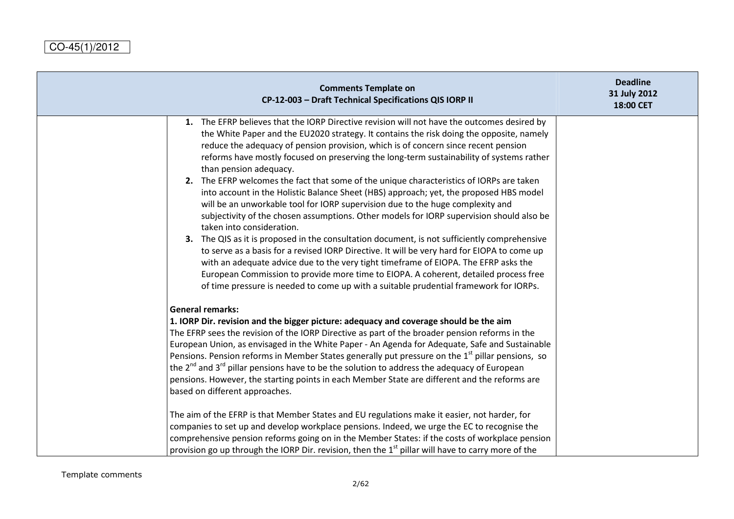| <b>Comments Template on</b><br>CP-12-003 - Draft Technical Specifications QIS IORP II                                                                                                                                                                                                                                                                                                                                                                                                                                                                                                                                                                                                                                                                                                                                                                                                                                                                                                                                                                                                                                                                                                                                                                                       | <b>Deadline</b><br>31 July 2012<br>18:00 CET |
|-----------------------------------------------------------------------------------------------------------------------------------------------------------------------------------------------------------------------------------------------------------------------------------------------------------------------------------------------------------------------------------------------------------------------------------------------------------------------------------------------------------------------------------------------------------------------------------------------------------------------------------------------------------------------------------------------------------------------------------------------------------------------------------------------------------------------------------------------------------------------------------------------------------------------------------------------------------------------------------------------------------------------------------------------------------------------------------------------------------------------------------------------------------------------------------------------------------------------------------------------------------------------------|----------------------------------------------|
| 1. The EFRP believes that the IORP Directive revision will not have the outcomes desired by<br>the White Paper and the EU2020 strategy. It contains the risk doing the opposite, namely<br>reduce the adequacy of pension provision, which is of concern since recent pension<br>reforms have mostly focused on preserving the long-term sustainability of systems rather<br>than pension adequacy.<br>2. The EFRP welcomes the fact that some of the unique characteristics of IORPs are taken<br>into account in the Holistic Balance Sheet (HBS) approach; yet, the proposed HBS model<br>will be an unworkable tool for IORP supervision due to the huge complexity and<br>subjectivity of the chosen assumptions. Other models for IORP supervision should also be<br>taken into consideration.<br>3. The QIS as it is proposed in the consultation document, is not sufficiently comprehensive<br>to serve as a basis for a revised IORP Directive. It will be very hard for EIOPA to come up<br>with an adequate advice due to the very tight timeframe of EIOPA. The EFRP asks the<br>European Commission to provide more time to EIOPA. A coherent, detailed process free<br>of time pressure is needed to come up with a suitable prudential framework for IORPs. |                                              |
| <b>General remarks:</b><br>1. IORP Dir. revision and the bigger picture: adequacy and coverage should be the aim<br>The EFRP sees the revision of the IORP Directive as part of the broader pension reforms in the<br>European Union, as envisaged in the White Paper - An Agenda for Adequate, Safe and Sustainable<br>Pensions. Pension reforms in Member States generally put pressure on the 1 <sup>st</sup> pillar pensions, so<br>the $2^{nd}$ and $3^{rd}$ pillar pensions have to be the solution to address the adequacy of European<br>pensions. However, the starting points in each Member State are different and the reforms are<br>based on different approaches.<br>The aim of the EFRP is that Member States and EU regulations make it easier, not harder, for<br>companies to set up and develop workplace pensions. Indeed, we urge the EC to recognise the<br>comprehensive pension reforms going on in the Member States: if the costs of workplace pension<br>provision go up through the IORP Dir. revision, then the $1st$ pillar will have to carry more of the                                                                                                                                                                                   |                                              |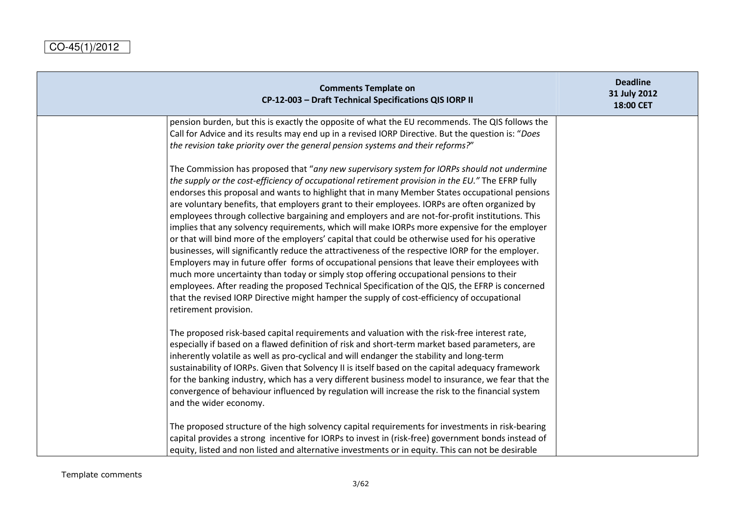| <b>Comments Template on</b><br>CP-12-003 - Draft Technical Specifications QIS IORP II                                                                                                                                                                                                                                                                                                                                                                                                                                                                                                                                                                                                                                                                                                                                                                                                                                                                                                                                                                                                                                                                                                                                                | <b>Deadline</b><br>31 July 2012<br>18:00 CET |
|--------------------------------------------------------------------------------------------------------------------------------------------------------------------------------------------------------------------------------------------------------------------------------------------------------------------------------------------------------------------------------------------------------------------------------------------------------------------------------------------------------------------------------------------------------------------------------------------------------------------------------------------------------------------------------------------------------------------------------------------------------------------------------------------------------------------------------------------------------------------------------------------------------------------------------------------------------------------------------------------------------------------------------------------------------------------------------------------------------------------------------------------------------------------------------------------------------------------------------------|----------------------------------------------|
| pension burden, but this is exactly the opposite of what the EU recommends. The QIS follows the<br>Call for Advice and its results may end up in a revised IORP Directive. But the question is: "Does<br>the revision take priority over the general pension systems and their reforms?"                                                                                                                                                                                                                                                                                                                                                                                                                                                                                                                                                                                                                                                                                                                                                                                                                                                                                                                                             |                                              |
| The Commission has proposed that "any new supervisory system for IORPs should not undermine<br>the supply or the cost-efficiency of occupational retirement provision in the EU." The EFRP fully<br>endorses this proposal and wants to highlight that in many Member States occupational pensions<br>are voluntary benefits, that employers grant to their employees. IORPs are often organized by<br>employees through collective bargaining and employers and are not-for-profit institutions. This<br>implies that any solvency requirements, which will make IORPs more expensive for the employer<br>or that will bind more of the employers' capital that could be otherwise used for his operative<br>businesses, will significantly reduce the attractiveness of the respective IORP for the employer.<br>Employers may in future offer forms of occupational pensions that leave their employees with<br>much more uncertainty than today or simply stop offering occupational pensions to their<br>employees. After reading the proposed Technical Specification of the QIS, the EFRP is concerned<br>that the revised IORP Directive might hamper the supply of cost-efficiency of occupational<br>retirement provision. |                                              |
| The proposed risk-based capital requirements and valuation with the risk-free interest rate,<br>especially if based on a flawed definition of risk and short-term market based parameters, are<br>inherently volatile as well as pro-cyclical and will endanger the stability and long-term<br>sustainability of IORPs. Given that Solvency II is itself based on the capital adequacy framework<br>for the banking industry, which has a very different business model to insurance, we fear that the<br>convergence of behaviour influenced by regulation will increase the risk to the financial system<br>and the wider economy.                                                                                                                                                                                                                                                                                                                                                                                                                                                                                                                                                                                                 |                                              |
| The proposed structure of the high solvency capital requirements for investments in risk-bearing<br>capital provides a strong incentive for IORPs to invest in (risk-free) government bonds instead of<br>equity, listed and non listed and alternative investments or in equity. This can not be desirable                                                                                                                                                                                                                                                                                                                                                                                                                                                                                                                                                                                                                                                                                                                                                                                                                                                                                                                          |                                              |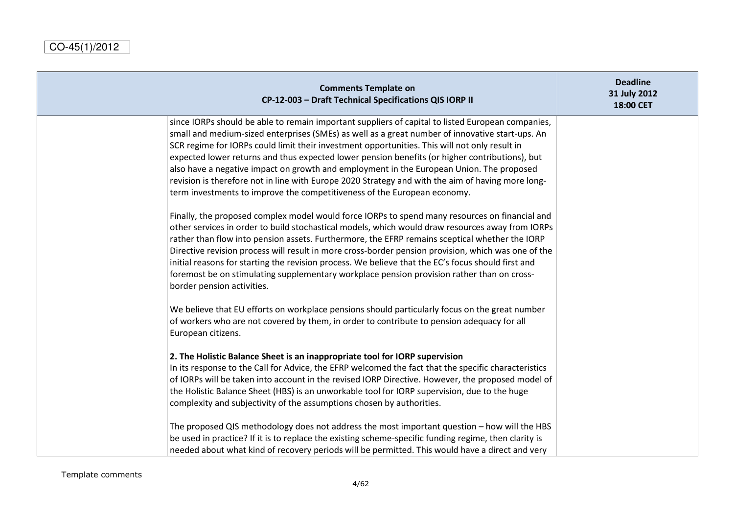| <b>Comments Template on</b><br>CP-12-003 - Draft Technical Specifications QIS IORP II                                                                                                                                                                                                                                                                                                                                                                                                                                                                                                                                                                                                                                                                                                                                                                                                                                                                                                        | <b>Deadline</b><br>31 July 2012<br>18:00 CET |
|----------------------------------------------------------------------------------------------------------------------------------------------------------------------------------------------------------------------------------------------------------------------------------------------------------------------------------------------------------------------------------------------------------------------------------------------------------------------------------------------------------------------------------------------------------------------------------------------------------------------------------------------------------------------------------------------------------------------------------------------------------------------------------------------------------------------------------------------------------------------------------------------------------------------------------------------------------------------------------------------|----------------------------------------------|
| since IORPs should be able to remain important suppliers of capital to listed European companies,<br>small and medium-sized enterprises (SMEs) as well as a great number of innovative start-ups. An<br>SCR regime for IORPs could limit their investment opportunities. This will not only result in<br>expected lower returns and thus expected lower pension benefits (or higher contributions), but<br>also have a negative impact on growth and employment in the European Union. The proposed<br>revision is therefore not in line with Europe 2020 Strategy and with the aim of having more long-<br>term investments to improve the competitiveness of the European economy.<br>Finally, the proposed complex model would force IORPs to spend many resources on financial and<br>other services in order to build stochastical models, which would draw resources away from IORPs<br>rather than flow into pension assets. Furthermore, the EFRP remains sceptical whether the IORP |                                              |
| Directive revision process will result in more cross-border pension provision, which was one of the<br>initial reasons for starting the revision process. We believe that the EC's focus should first and<br>foremost be on stimulating supplementary workplace pension provision rather than on cross-<br>border pension activities.                                                                                                                                                                                                                                                                                                                                                                                                                                                                                                                                                                                                                                                        |                                              |
| We believe that EU efforts on workplace pensions should particularly focus on the great number<br>of workers who are not covered by them, in order to contribute to pension adequacy for all<br>European citizens.                                                                                                                                                                                                                                                                                                                                                                                                                                                                                                                                                                                                                                                                                                                                                                           |                                              |
| 2. The Holistic Balance Sheet is an inappropriate tool for IORP supervision<br>In its response to the Call for Advice, the EFRP welcomed the fact that the specific characteristics<br>of IORPs will be taken into account in the revised IORP Directive. However, the proposed model of<br>the Holistic Balance Sheet (HBS) is an unworkable tool for IORP supervision, due to the huge<br>complexity and subjectivity of the assumptions chosen by authorities.                                                                                                                                                                                                                                                                                                                                                                                                                                                                                                                            |                                              |
| The proposed QIS methodology does not address the most important question - how will the HBS<br>be used in practice? If it is to replace the existing scheme-specific funding regime, then clarity is<br>needed about what kind of recovery periods will be permitted. This would have a direct and very                                                                                                                                                                                                                                                                                                                                                                                                                                                                                                                                                                                                                                                                                     |                                              |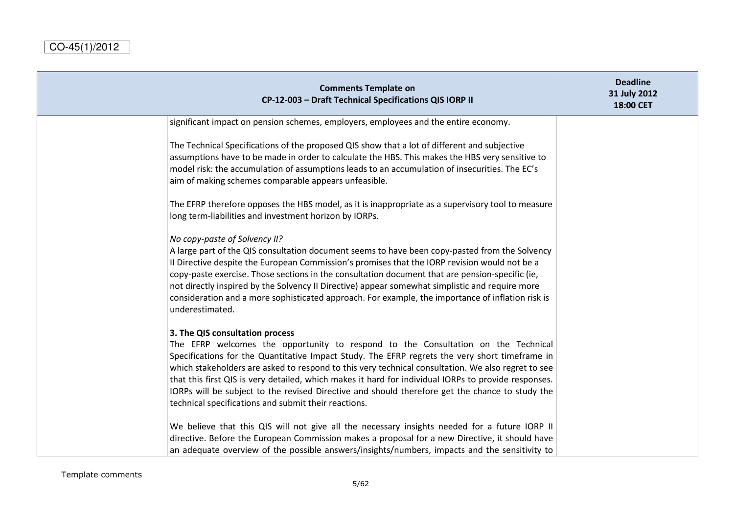| <b>Comments Template on</b><br>CP-12-003 - Draft Technical Specifications QIS IORP II                                                                                                                                                                                                                                                                                                                                                                                                                                                                                                           | <b>Deadline</b><br>31 July 2012<br>18:00 CET |
|-------------------------------------------------------------------------------------------------------------------------------------------------------------------------------------------------------------------------------------------------------------------------------------------------------------------------------------------------------------------------------------------------------------------------------------------------------------------------------------------------------------------------------------------------------------------------------------------------|----------------------------------------------|
| significant impact on pension schemes, employers, employees and the entire economy.                                                                                                                                                                                                                                                                                                                                                                                                                                                                                                             |                                              |
| The Technical Specifications of the proposed QIS show that a lot of different and subjective<br>assumptions have to be made in order to calculate the HBS. This makes the HBS very sensitive to<br>model risk: the accumulation of assumptions leads to an accumulation of insecurities. The EC's<br>aim of making schemes comparable appears unfeasible.                                                                                                                                                                                                                                       |                                              |
| The EFRP therefore opposes the HBS model, as it is inappropriate as a supervisory tool to measure<br>long term-liabilities and investment horizon by IORPs.                                                                                                                                                                                                                                                                                                                                                                                                                                     |                                              |
| No copy-paste of Solvency II?<br>A large part of the QIS consultation document seems to have been copy-pasted from the Solvency<br>Il Directive despite the European Commission's promises that the IORP revision would not be a<br>copy-paste exercise. Those sections in the consultation document that are pension-specific (ie,<br>not directly inspired by the Solvency II Directive) appear somewhat simplistic and require more<br>consideration and a more sophisticated approach. For example, the importance of inflation risk is<br>underestimated.                                  |                                              |
| 3. The QIS consultation process<br>The EFRP welcomes the opportunity to respond to the Consultation on the Technical<br>Specifications for the Quantitative Impact Study. The EFRP regrets the very short timeframe in<br>which stakeholders are asked to respond to this very technical consultation. We also regret to see<br>that this first QIS is very detailed, which makes it hard for individual IORPs to provide responses.<br>IORPs will be subject to the revised Directive and should therefore get the chance to study the<br>technical specifications and submit their reactions. |                                              |
| We believe that this QIS will not give all the necessary insights needed for a future IORP II<br>directive. Before the European Commission makes a proposal for a new Directive, it should have<br>an adequate overview of the possible answers/insights/numbers, impacts and the sensitivity to                                                                                                                                                                                                                                                                                                |                                              |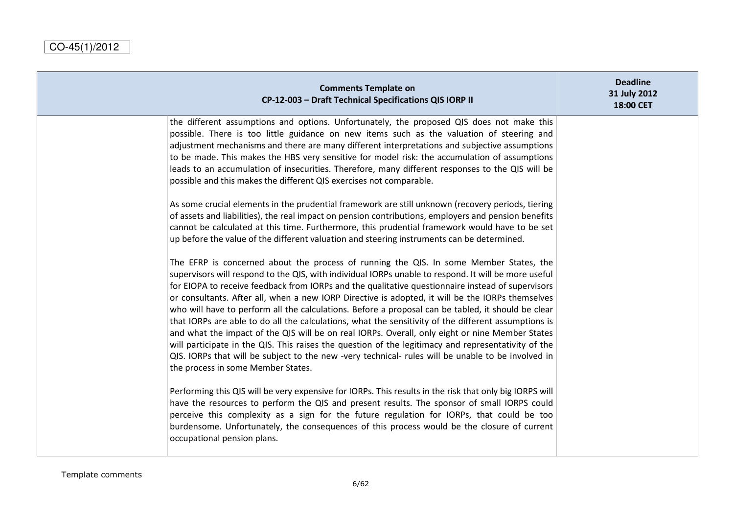| <b>Comments Template on</b><br>CP-12-003 - Draft Technical Specifications QIS IORP II                                                                                                                                                                                                                                                                                                                                                                                                                                                                                                                                                                                                                                                                                                                                                                                                                                                                                       | <b>Deadline</b><br>31 July 2012<br>18:00 CET |
|-----------------------------------------------------------------------------------------------------------------------------------------------------------------------------------------------------------------------------------------------------------------------------------------------------------------------------------------------------------------------------------------------------------------------------------------------------------------------------------------------------------------------------------------------------------------------------------------------------------------------------------------------------------------------------------------------------------------------------------------------------------------------------------------------------------------------------------------------------------------------------------------------------------------------------------------------------------------------------|----------------------------------------------|
| the different assumptions and options. Unfortunately, the proposed QIS does not make this<br>possible. There is too little guidance on new items such as the valuation of steering and<br>adjustment mechanisms and there are many different interpretations and subjective assumptions<br>to be made. This makes the HBS very sensitive for model risk: the accumulation of assumptions<br>leads to an accumulation of insecurities. Therefore, many different responses to the QIS will be<br>possible and this makes the different QIS exercises not comparable.                                                                                                                                                                                                                                                                                                                                                                                                         |                                              |
| As some crucial elements in the prudential framework are still unknown (recovery periods, tiering<br>of assets and liabilities), the real impact on pension contributions, employers and pension benefits<br>cannot be calculated at this time. Furthermore, this prudential framework would have to be set<br>up before the value of the different valuation and steering instruments can be determined.                                                                                                                                                                                                                                                                                                                                                                                                                                                                                                                                                                   |                                              |
| The EFRP is concerned about the process of running the QIS. In some Member States, the<br>supervisors will respond to the QIS, with individual IORPs unable to respond. It will be more useful<br>for EIOPA to receive feedback from IORPs and the qualitative questionnaire instead of supervisors<br>or consultants. After all, when a new IORP Directive is adopted, it will be the IORPs themselves<br>who will have to perform all the calculations. Before a proposal can be tabled, it should be clear<br>that IORPs are able to do all the calculations, what the sensitivity of the different assumptions is<br>and what the impact of the QIS will be on real IORPs. Overall, only eight or nine Member States<br>will participate in the QIS. This raises the question of the legitimacy and representativity of the<br>QIS. IORPs that will be subject to the new -very technical- rules will be unable to be involved in<br>the process in some Member States. |                                              |
| Performing this QIS will be very expensive for IORPs. This results in the risk that only big IORPS will<br>have the resources to perform the QIS and present results. The sponsor of small IORPS could<br>perceive this complexity as a sign for the future regulation for IORPs, that could be too<br>burdensome. Unfortunately, the consequences of this process would be the closure of current<br>occupational pension plans.                                                                                                                                                                                                                                                                                                                                                                                                                                                                                                                                           |                                              |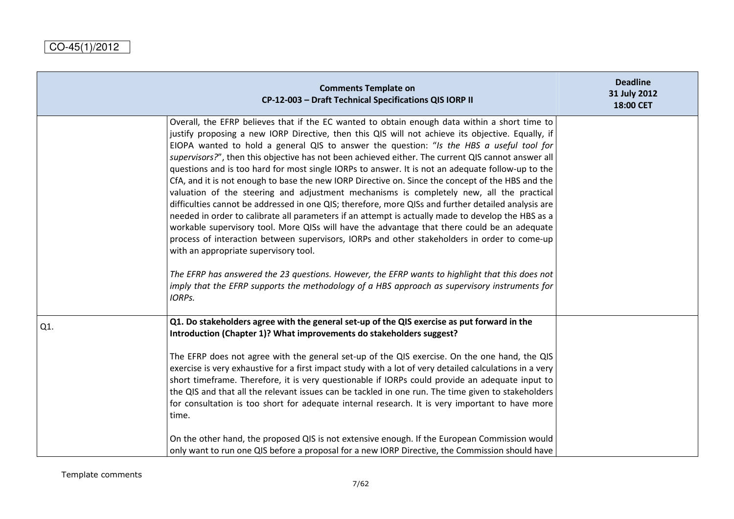|     | <b>Comments Template on</b><br>CP-12-003 - Draft Technical Specifications QIS IORP II                                                                                                                                                                                                                                                                                                                                                                                                                                                                                                                                                                                                                                                                                                                                                                                                                                                                                                                                                                                                                                                                                                                                                                                                                                                                                          | <b>Deadline</b><br>31 July 2012<br>18:00 CET |
|-----|--------------------------------------------------------------------------------------------------------------------------------------------------------------------------------------------------------------------------------------------------------------------------------------------------------------------------------------------------------------------------------------------------------------------------------------------------------------------------------------------------------------------------------------------------------------------------------------------------------------------------------------------------------------------------------------------------------------------------------------------------------------------------------------------------------------------------------------------------------------------------------------------------------------------------------------------------------------------------------------------------------------------------------------------------------------------------------------------------------------------------------------------------------------------------------------------------------------------------------------------------------------------------------------------------------------------------------------------------------------------------------|----------------------------------------------|
|     | Overall, the EFRP believes that if the EC wanted to obtain enough data within a short time to<br>justify proposing a new IORP Directive, then this QIS will not achieve its objective. Equally, if<br>EIOPA wanted to hold a general QIS to answer the question: "Is the HBS a useful tool for<br>supervisors?", then this objective has not been achieved either. The current QIS cannot answer all<br>questions and is too hard for most single IORPs to answer. It is not an adequate follow-up to the<br>CfA, and it is not enough to base the new IORP Directive on. Since the concept of the HBS and the<br>valuation of the steering and adjustment mechanisms is completely new, all the practical<br>difficulties cannot be addressed in one QIS; therefore, more QISs and further detailed analysis are<br>needed in order to calibrate all parameters if an attempt is actually made to develop the HBS as a<br>workable supervisory tool. More QISs will have the advantage that there could be an adequate<br>process of interaction between supervisors, IORPs and other stakeholders in order to come-up<br>with an appropriate supervisory tool.<br>The EFRP has answered the 23 questions. However, the EFRP wants to highlight that this does not<br>imply that the EFRP supports the methodology of a HBS approach as supervisory instruments for<br>IORPs. |                                              |
| Q1. | Q1. Do stakeholders agree with the general set-up of the QIS exercise as put forward in the<br>Introduction (Chapter 1)? What improvements do stakeholders suggest?<br>The EFRP does not agree with the general set-up of the QIS exercise. On the one hand, the QIS<br>exercise is very exhaustive for a first impact study with a lot of very detailed calculations in a very<br>short timeframe. Therefore, it is very questionable if IORPs could provide an adequate input to<br>the QIS and that all the relevant issues can be tackled in one run. The time given to stakeholders<br>for consultation is too short for adequate internal research. It is very important to have more<br>time.<br>On the other hand, the proposed QIS is not extensive enough. If the European Commission would                                                                                                                                                                                                                                                                                                                                                                                                                                                                                                                                                                          |                                              |
|     | only want to run one QIS before a proposal for a new IORP Directive, the Commission should have                                                                                                                                                                                                                                                                                                                                                                                                                                                                                                                                                                                                                                                                                                                                                                                                                                                                                                                                                                                                                                                                                                                                                                                                                                                                                |                                              |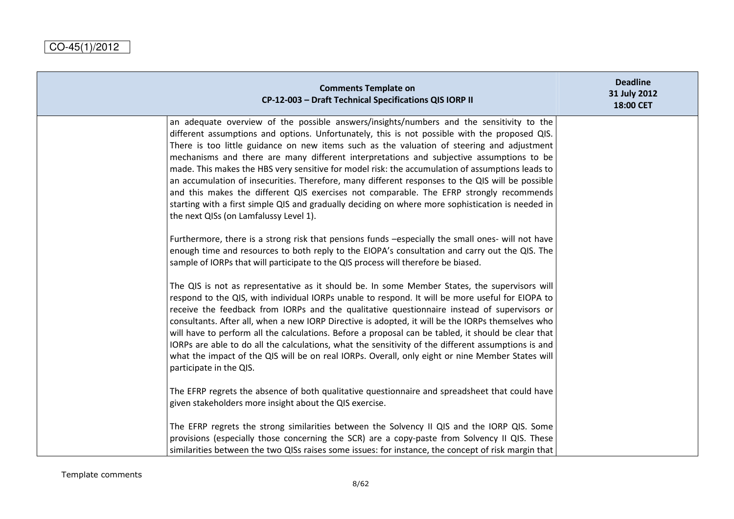| <b>Comments Template on</b><br>CP-12-003 - Draft Technical Specifications QIS IORP II                                                                                                                                                                                                                                                                                                                                                                                                                                                                                                                                                                                                                                                                                                                                                 | <b>Deadline</b><br>31 July 2012<br>18:00 CET |
|---------------------------------------------------------------------------------------------------------------------------------------------------------------------------------------------------------------------------------------------------------------------------------------------------------------------------------------------------------------------------------------------------------------------------------------------------------------------------------------------------------------------------------------------------------------------------------------------------------------------------------------------------------------------------------------------------------------------------------------------------------------------------------------------------------------------------------------|----------------------------------------------|
| an adequate overview of the possible answers/insights/numbers and the sensitivity to the<br>different assumptions and options. Unfortunately, this is not possible with the proposed QIS.<br>There is too little guidance on new items such as the valuation of steering and adjustment<br>mechanisms and there are many different interpretations and subjective assumptions to be<br>made. This makes the HBS very sensitive for model risk: the accumulation of assumptions leads to<br>an accumulation of insecurities. Therefore, many different responses to the QIS will be possible<br>and this makes the different QIS exercises not comparable. The EFRP strongly recommends<br>starting with a first simple QIS and gradually deciding on where more sophistication is needed in<br>the next QISs (on Lamfalussy Level 1). |                                              |
| Furthermore, there is a strong risk that pensions funds -especially the small ones- will not have<br>enough time and resources to both reply to the EIOPA's consultation and carry out the QIS. The<br>sample of IORPs that will participate to the QIS process will therefore be biased.                                                                                                                                                                                                                                                                                                                                                                                                                                                                                                                                             |                                              |
| The QIS is not as representative as it should be. In some Member States, the supervisors will<br>respond to the QIS, with individual IORPs unable to respond. It will be more useful for EIOPA to<br>receive the feedback from IORPs and the qualitative questionnaire instead of supervisors or<br>consultants. After all, when a new IORP Directive is adopted, it will be the IORPs themselves who<br>will have to perform all the calculations. Before a proposal can be tabled, it should be clear that<br>IORPs are able to do all the calculations, what the sensitivity of the different assumptions is and<br>what the impact of the QIS will be on real IORPs. Overall, only eight or nine Member States will<br>participate in the QIS.                                                                                    |                                              |
| The EFRP regrets the absence of both qualitative questionnaire and spreadsheet that could have<br>given stakeholders more insight about the QIS exercise.                                                                                                                                                                                                                                                                                                                                                                                                                                                                                                                                                                                                                                                                             |                                              |
| The EFRP regrets the strong similarities between the Solvency II QIS and the IORP QIS. Some<br>provisions (especially those concerning the SCR) are a copy-paste from Solvency II QIS. These<br>similarities between the two QISs raises some issues: for instance, the concept of risk margin that                                                                                                                                                                                                                                                                                                                                                                                                                                                                                                                                   |                                              |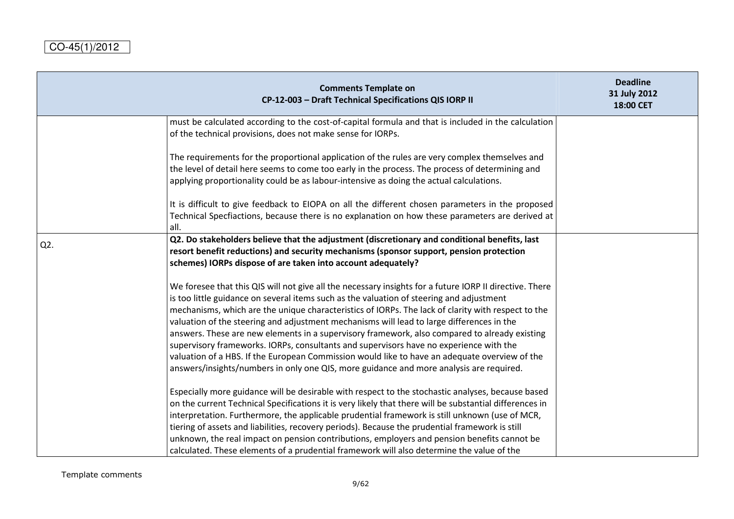|     | <b>Comments Template on</b><br>CP-12-003 - Draft Technical Specifications QIS IORP II                                                                                                                                                                                                                                                                                                                                                                                                                                                                                                                                                                                                                                                                                                         | <b>Deadline</b><br>31 July 2012<br>18:00 CET |
|-----|-----------------------------------------------------------------------------------------------------------------------------------------------------------------------------------------------------------------------------------------------------------------------------------------------------------------------------------------------------------------------------------------------------------------------------------------------------------------------------------------------------------------------------------------------------------------------------------------------------------------------------------------------------------------------------------------------------------------------------------------------------------------------------------------------|----------------------------------------------|
|     | must be calculated according to the cost-of-capital formula and that is included in the calculation<br>of the technical provisions, does not make sense for IORPs.                                                                                                                                                                                                                                                                                                                                                                                                                                                                                                                                                                                                                            |                                              |
|     | The requirements for the proportional application of the rules are very complex themselves and<br>the level of detail here seems to come too early in the process. The process of determining and<br>applying proportionality could be as labour-intensive as doing the actual calculations.                                                                                                                                                                                                                                                                                                                                                                                                                                                                                                  |                                              |
|     | It is difficult to give feedback to EIOPA on all the different chosen parameters in the proposed<br>Technical Specfiactions, because there is no explanation on how these parameters are derived at<br>all.                                                                                                                                                                                                                                                                                                                                                                                                                                                                                                                                                                                   |                                              |
| Q2. | Q2. Do stakeholders believe that the adjustment (discretionary and conditional benefits, last<br>resort benefit reductions) and security mechanisms (sponsor support, pension protection<br>schemes) IORPs dispose of are taken into account adequately?                                                                                                                                                                                                                                                                                                                                                                                                                                                                                                                                      |                                              |
|     | We foresee that this QIS will not give all the necessary insights for a future IORP II directive. There<br>is too little guidance on several items such as the valuation of steering and adjustment<br>mechanisms, which are the unique characteristics of IORPs. The lack of clarity with respect to the<br>valuation of the steering and adjustment mechanisms will lead to large differences in the<br>answers. These are new elements in a supervisory framework, also compared to already existing<br>supervisory frameworks. IORPs, consultants and supervisors have no experience with the<br>valuation of a HBS. If the European Commission would like to have an adequate overview of the<br>answers/insights/numbers in only one QIS, more guidance and more analysis are required. |                                              |
|     | Especially more guidance will be desirable with respect to the stochastic analyses, because based<br>on the current Technical Specifications it is very likely that there will be substantial differences in<br>interpretation. Furthermore, the applicable prudential framework is still unknown (use of MCR,<br>tiering of assets and liabilities, recovery periods). Because the prudential framework is still<br>unknown, the real impact on pension contributions, employers and pension benefits cannot be<br>calculated. These elements of a prudential framework will also determine the value of the                                                                                                                                                                                 |                                              |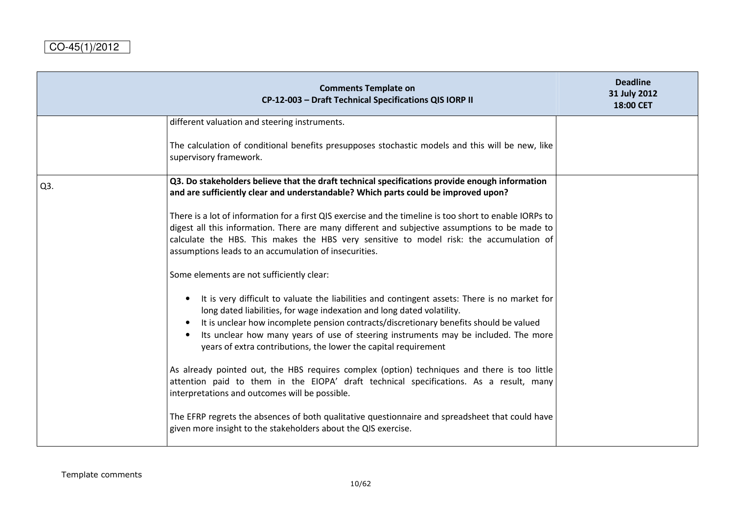|                  | <b>Comments Template on</b><br>CP-12-003 - Draft Technical Specifications QIS IORP II                                                                                                                                                                                                                                                                                                                                                    | <b>Deadline</b><br>31 July 2012<br>18:00 CET |
|------------------|------------------------------------------------------------------------------------------------------------------------------------------------------------------------------------------------------------------------------------------------------------------------------------------------------------------------------------------------------------------------------------------------------------------------------------------|----------------------------------------------|
|                  | different valuation and steering instruments.                                                                                                                                                                                                                                                                                                                                                                                            |                                              |
|                  | The calculation of conditional benefits presupposes stochastic models and this will be new, like<br>supervisory framework.                                                                                                                                                                                                                                                                                                               |                                              |
| Q <sub>3</sub> . | Q3. Do stakeholders believe that the draft technical specifications provide enough information<br>and are sufficiently clear and understandable? Which parts could be improved upon?                                                                                                                                                                                                                                                     |                                              |
|                  | There is a lot of information for a first QIS exercise and the timeline is too short to enable IORPs to<br>digest all this information. There are many different and subjective assumptions to be made to<br>calculate the HBS. This makes the HBS very sensitive to model risk: the accumulation of<br>assumptions leads to an accumulation of insecurities.                                                                            |                                              |
|                  | Some elements are not sufficiently clear:                                                                                                                                                                                                                                                                                                                                                                                                |                                              |
|                  | It is very difficult to valuate the liabilities and contingent assets: There is no market for<br>long dated liabilities, for wage indexation and long dated volatility.<br>It is unclear how incomplete pension contracts/discretionary benefits should be valued<br>$\bullet$<br>Its unclear how many years of use of steering instruments may be included. The more<br>years of extra contributions, the lower the capital requirement |                                              |
|                  | As already pointed out, the HBS requires complex (option) techniques and there is too little<br>attention paid to them in the EIOPA' draft technical specifications. As a result, many<br>interpretations and outcomes will be possible.                                                                                                                                                                                                 |                                              |
|                  | The EFRP regrets the absences of both qualitative questionnaire and spreadsheet that could have<br>given more insight to the stakeholders about the QIS exercise.                                                                                                                                                                                                                                                                        |                                              |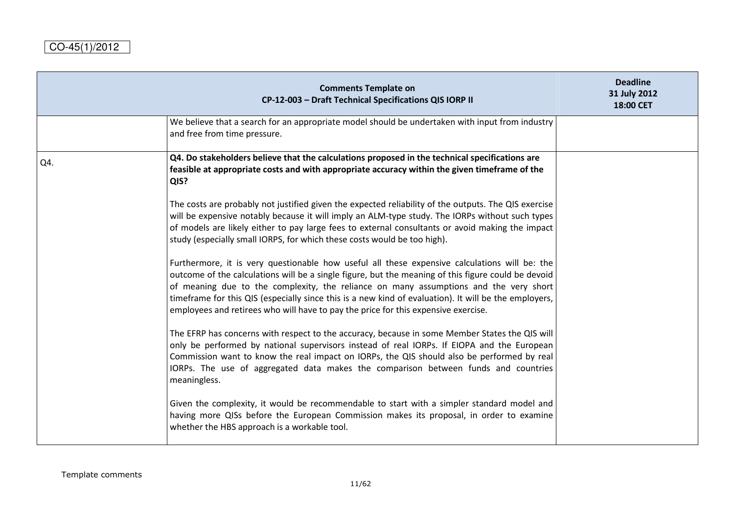|     | <b>Comments Template on</b><br>CP-12-003 - Draft Technical Specifications QIS IORP II                                                                                                                                                                                                                                                                                                                                                                                                        | <b>Deadline</b><br>31 July 2012<br>18:00 CET |
|-----|----------------------------------------------------------------------------------------------------------------------------------------------------------------------------------------------------------------------------------------------------------------------------------------------------------------------------------------------------------------------------------------------------------------------------------------------------------------------------------------------|----------------------------------------------|
|     | We believe that a search for an appropriate model should be undertaken with input from industry<br>and free from time pressure.                                                                                                                                                                                                                                                                                                                                                              |                                              |
| Q4. | Q4. Do stakeholders believe that the calculations proposed in the technical specifications are<br>feasible at appropriate costs and with appropriate accuracy within the given timeframe of the<br>QIS?                                                                                                                                                                                                                                                                                      |                                              |
|     | The costs are probably not justified given the expected reliability of the outputs. The QIS exercise<br>will be expensive notably because it will imply an ALM-type study. The IORPs without such types<br>of models are likely either to pay large fees to external consultants or avoid making the impact<br>study (especially small IORPS, for which these costs would be too high).                                                                                                      |                                              |
|     | Furthermore, it is very questionable how useful all these expensive calculations will be: the<br>outcome of the calculations will be a single figure, but the meaning of this figure could be devoid<br>of meaning due to the complexity, the reliance on many assumptions and the very short<br>timeframe for this QIS (especially since this is a new kind of evaluation). It will be the employers,<br>employees and retirees who will have to pay the price for this expensive exercise. |                                              |
|     | The EFRP has concerns with respect to the accuracy, because in some Member States the QIS will<br>only be performed by national supervisors instead of real IORPs. If EIOPA and the European<br>Commission want to know the real impact on IORPs, the QIS should also be performed by real<br>IORPs. The use of aggregated data makes the comparison between funds and countries<br>meaningless.                                                                                             |                                              |
|     | Given the complexity, it would be recommendable to start with a simpler standard model and<br>having more QISs before the European Commission makes its proposal, in order to examine<br>whether the HBS approach is a workable tool.                                                                                                                                                                                                                                                        |                                              |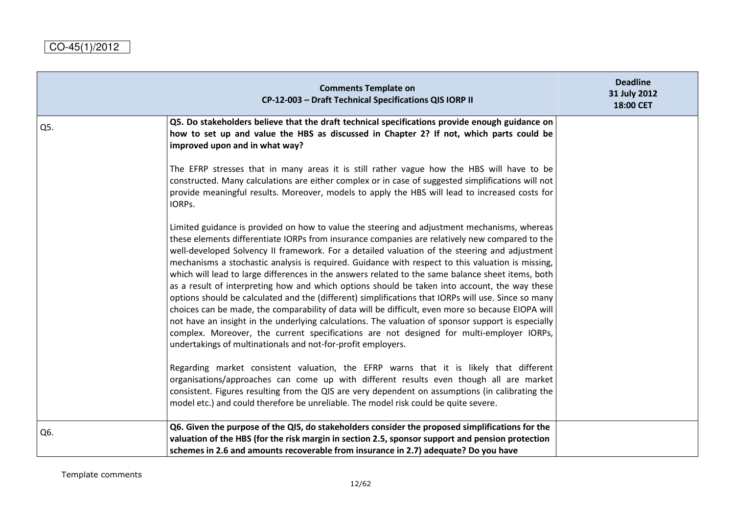|     | <b>Comments Template on</b><br>CP-12-003 - Draft Technical Specifications QIS IORP II                                                                                                                                                                                                                                                                                                                                                                                                                                                                                                                                                                                                                                                                                                                                                                                                                                                                                                                                                                                                    | <b>Deadline</b><br>31 July 2012<br>18:00 CET |
|-----|------------------------------------------------------------------------------------------------------------------------------------------------------------------------------------------------------------------------------------------------------------------------------------------------------------------------------------------------------------------------------------------------------------------------------------------------------------------------------------------------------------------------------------------------------------------------------------------------------------------------------------------------------------------------------------------------------------------------------------------------------------------------------------------------------------------------------------------------------------------------------------------------------------------------------------------------------------------------------------------------------------------------------------------------------------------------------------------|----------------------------------------------|
| Q5. | Q5. Do stakeholders believe that the draft technical specifications provide enough guidance on<br>how to set up and value the HBS as discussed in Chapter 2? If not, which parts could be<br>improved upon and in what way?                                                                                                                                                                                                                                                                                                                                                                                                                                                                                                                                                                                                                                                                                                                                                                                                                                                              |                                              |
|     | The EFRP stresses that in many areas it is still rather vague how the HBS will have to be<br>constructed. Many calculations are either complex or in case of suggested simplifications will not<br>provide meaningful results. Moreover, models to apply the HBS will lead to increased costs for<br>IORPs.                                                                                                                                                                                                                                                                                                                                                                                                                                                                                                                                                                                                                                                                                                                                                                              |                                              |
|     | Limited guidance is provided on how to value the steering and adjustment mechanisms, whereas<br>these elements differentiate IORPs from insurance companies are relatively new compared to the<br>well-developed Solvency II framework. For a detailed valuation of the steering and adjustment<br>mechanisms a stochastic analysis is required. Guidance with respect to this valuation is missing,<br>which will lead to large differences in the answers related to the same balance sheet items, both<br>as a result of interpreting how and which options should be taken into account, the way these<br>options should be calculated and the (different) simplifications that IORPs will use. Since so many<br>choices can be made, the comparability of data will be difficult, even more so because EIOPA will<br>not have an insight in the underlying calculations. The valuation of sponsor support is especially<br>complex. Moreover, the current specifications are not designed for multi-employer IORPs,<br>undertakings of multinationals and not-for-profit employers. |                                              |
|     | Regarding market consistent valuation, the EFRP warns that it is likely that different<br>organisations/approaches can come up with different results even though all are market<br>consistent. Figures resulting from the QIS are very dependent on assumptions (in calibrating the<br>model etc.) and could therefore be unreliable. The model risk could be quite severe.                                                                                                                                                                                                                                                                                                                                                                                                                                                                                                                                                                                                                                                                                                             |                                              |
| Q6. | Q6. Given the purpose of the QIS, do stakeholders consider the proposed simplifications for the<br>valuation of the HBS (for the risk margin in section 2.5, sponsor support and pension protection<br>schemes in 2.6 and amounts recoverable from insurance in 2.7) adequate? Do you have                                                                                                                                                                                                                                                                                                                                                                                                                                                                                                                                                                                                                                                                                                                                                                                               |                                              |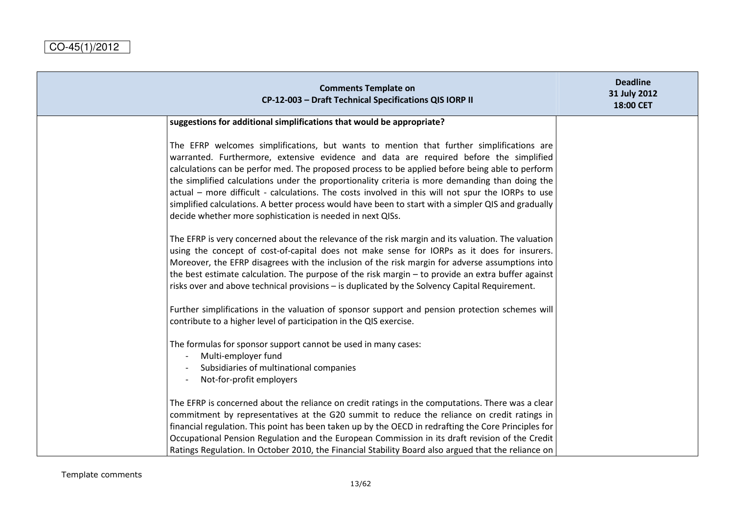| <b>Comments Template on</b><br>CP-12-003 - Draft Technical Specifications QIS IORP II                                                                                                                                                                                                                                                                                                                                                                                                                                                                                                                                                                              | <b>Deadline</b><br>31 July 2012<br>18:00 CET |
|--------------------------------------------------------------------------------------------------------------------------------------------------------------------------------------------------------------------------------------------------------------------------------------------------------------------------------------------------------------------------------------------------------------------------------------------------------------------------------------------------------------------------------------------------------------------------------------------------------------------------------------------------------------------|----------------------------------------------|
| suggestions for additional simplifications that would be appropriate?                                                                                                                                                                                                                                                                                                                                                                                                                                                                                                                                                                                              |                                              |
| The EFRP welcomes simplifications, but wants to mention that further simplifications are<br>warranted. Furthermore, extensive evidence and data are required before the simplified<br>calculations can be perfor med. The proposed process to be applied before being able to perform<br>the simplified calculations under the proportionality criteria is more demanding than doing the<br>actual - more difficult - calculations. The costs involved in this will not spur the IORPs to use<br>simplified calculations. A better process would have been to start with a simpler QIS and gradually<br>decide whether more sophistication is needed in next QISs. |                                              |
| The EFRP is very concerned about the relevance of the risk margin and its valuation. The valuation<br>using the concept of cost-of-capital does not make sense for IORPs as it does for insurers.<br>Moreover, the EFRP disagrees with the inclusion of the risk margin for adverse assumptions into<br>the best estimate calculation. The purpose of the risk margin $-$ to provide an extra buffer against<br>risks over and above technical provisions - is duplicated by the Solvency Capital Requirement.                                                                                                                                                     |                                              |
| Further simplifications in the valuation of sponsor support and pension protection schemes will<br>contribute to a higher level of participation in the QIS exercise.                                                                                                                                                                                                                                                                                                                                                                                                                                                                                              |                                              |
| The formulas for sponsor support cannot be used in many cases:<br>Multi-employer fund<br>Subsidiaries of multinational companies<br>Not-for-profit employers                                                                                                                                                                                                                                                                                                                                                                                                                                                                                                       |                                              |
| The EFRP is concerned about the reliance on credit ratings in the computations. There was a clear<br>commitment by representatives at the G20 summit to reduce the reliance on credit ratings in<br>financial regulation. This point has been taken up by the OECD in redrafting the Core Principles for<br>Occupational Pension Regulation and the European Commission in its draft revision of the Credit<br>Ratings Regulation. In October 2010, the Financial Stability Board also argued that the reliance on                                                                                                                                                 |                                              |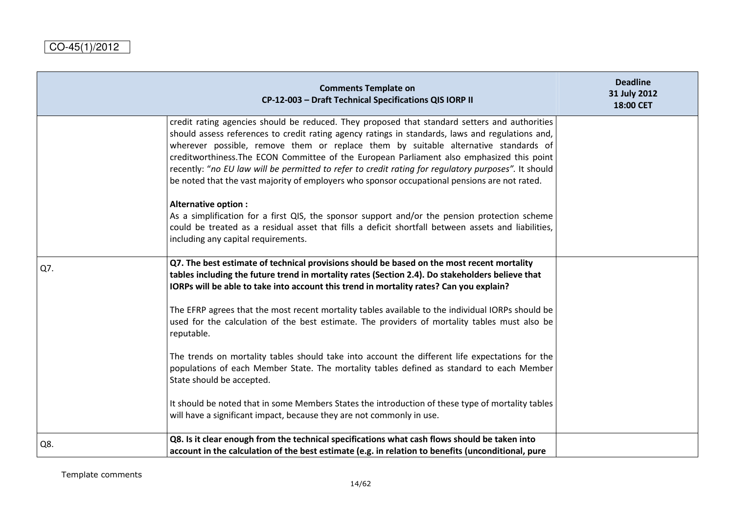|     | <b>Comments Template on</b><br>CP-12-003 - Draft Technical Specifications QIS IORP II                                                                                                                                                                                                                                                                                                                                                                                                                                                                                                           | <b>Deadline</b><br>31 July 2012<br>18:00 CET |
|-----|-------------------------------------------------------------------------------------------------------------------------------------------------------------------------------------------------------------------------------------------------------------------------------------------------------------------------------------------------------------------------------------------------------------------------------------------------------------------------------------------------------------------------------------------------------------------------------------------------|----------------------------------------------|
|     | credit rating agencies should be reduced. They proposed that standard setters and authorities<br>should assess references to credit rating agency ratings in standards, laws and regulations and,<br>wherever possible, remove them or replace them by suitable alternative standards of<br>creditworthiness. The ECON Committee of the European Parliament also emphasized this point<br>recently: "no EU law will be permitted to refer to credit rating for regulatory purposes". It should<br>be noted that the vast majority of employers who sponsor occupational pensions are not rated. |                                              |
|     | Alternative option :<br>As a simplification for a first QIS, the sponsor support and/or the pension protection scheme<br>could be treated as a residual asset that fills a deficit shortfall between assets and liabilities,<br>including any capital requirements.                                                                                                                                                                                                                                                                                                                             |                                              |
| Q7. | Q7. The best estimate of technical provisions should be based on the most recent mortality<br>tables including the future trend in mortality rates (Section 2.4). Do stakeholders believe that<br>IORPs will be able to take into account this trend in mortality rates? Can you explain?                                                                                                                                                                                                                                                                                                       |                                              |
|     | The EFRP agrees that the most recent mortality tables available to the individual IORPs should be<br>used for the calculation of the best estimate. The providers of mortality tables must also be<br>reputable.                                                                                                                                                                                                                                                                                                                                                                                |                                              |
|     | The trends on mortality tables should take into account the different life expectations for the<br>populations of each Member State. The mortality tables defined as standard to each Member<br>State should be accepted.                                                                                                                                                                                                                                                                                                                                                                       |                                              |
|     | It should be noted that in some Members States the introduction of these type of mortality tables<br>will have a significant impact, because they are not commonly in use.                                                                                                                                                                                                                                                                                                                                                                                                                      |                                              |
| Q8. | Q8. Is it clear enough from the technical specifications what cash flows should be taken into<br>account in the calculation of the best estimate (e.g. in relation to benefits (unconditional, pure                                                                                                                                                                                                                                                                                                                                                                                             |                                              |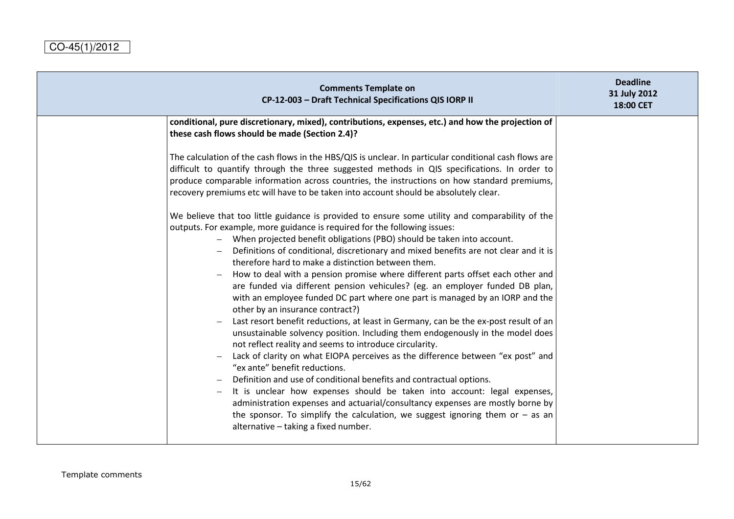| <b>Comments Template on</b><br>CP-12-003 - Draft Technical Specifications QIS IORP II                                                                                                                                                                                                                                                                                                                                                                                                                                                                                                                                                                                                                                                                                                                                                                                                                                                                                                                                                                                                                                                                                                                                                                                                                                                                                                                                                                                                                                                                                                                                                                                                                                                                                                                                                                                                                                                | <b>Deadline</b><br>31 July 2012<br>18:00 CET |
|--------------------------------------------------------------------------------------------------------------------------------------------------------------------------------------------------------------------------------------------------------------------------------------------------------------------------------------------------------------------------------------------------------------------------------------------------------------------------------------------------------------------------------------------------------------------------------------------------------------------------------------------------------------------------------------------------------------------------------------------------------------------------------------------------------------------------------------------------------------------------------------------------------------------------------------------------------------------------------------------------------------------------------------------------------------------------------------------------------------------------------------------------------------------------------------------------------------------------------------------------------------------------------------------------------------------------------------------------------------------------------------------------------------------------------------------------------------------------------------------------------------------------------------------------------------------------------------------------------------------------------------------------------------------------------------------------------------------------------------------------------------------------------------------------------------------------------------------------------------------------------------------------------------------------------------|----------------------------------------------|
| conditional, pure discretionary, mixed), contributions, expenses, etc.) and how the projection of<br>these cash flows should be made (Section 2.4)?<br>The calculation of the cash flows in the HBS/QIS is unclear. In particular conditional cash flows are<br>difficult to quantify through the three suggested methods in QIS specifications. In order to<br>produce comparable information across countries, the instructions on how standard premiums,<br>recovery premiums etc will have to be taken into account should be absolutely clear.<br>We believe that too little guidance is provided to ensure some utility and comparability of the<br>outputs. For example, more guidance is required for the following issues:<br>- When projected benefit obligations (PBO) should be taken into account.<br>Definitions of conditional, discretionary and mixed benefits are not clear and it is<br>therefore hard to make a distinction between them.<br>How to deal with a pension promise where different parts offset each other and<br>are funded via different pension vehicules? (eg. an employer funded DB plan,<br>with an employee funded DC part where one part is managed by an IORP and the<br>other by an insurance contract?)<br>Last resort benefit reductions, at least in Germany, can be the ex-post result of an<br>unsustainable solvency position. Including them endogenously in the model does<br>not reflect reality and seems to introduce circularity.<br>Lack of clarity on what EIOPA perceives as the difference between "ex post" and<br>"ex ante" benefit reductions.<br>Definition and use of conditional benefits and contractual options.<br>It is unclear how expenses should be taken into account: legal expenses,<br>administration expenses and actuarial/consultancy expenses are mostly borne by<br>the sponsor. To simplify the calculation, we suggest ignoring them or $-$ as an |                                              |
| alternative - taking a fixed number.                                                                                                                                                                                                                                                                                                                                                                                                                                                                                                                                                                                                                                                                                                                                                                                                                                                                                                                                                                                                                                                                                                                                                                                                                                                                                                                                                                                                                                                                                                                                                                                                                                                                                                                                                                                                                                                                                                 |                                              |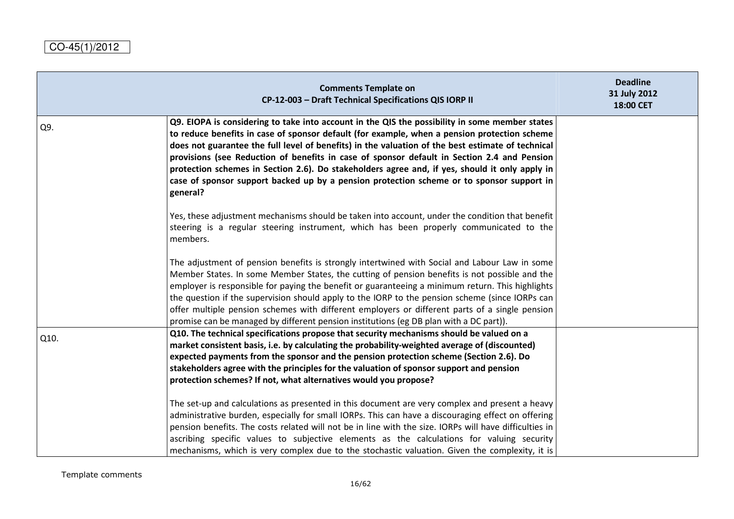|      | <b>Comments Template on</b><br>CP-12-003 - Draft Technical Specifications QIS IORP II                                                                                                                                                                                                                                                                                                                                                                                                                                                                                                                         | <b>Deadline</b><br>31 July 2012<br>18:00 CET |
|------|---------------------------------------------------------------------------------------------------------------------------------------------------------------------------------------------------------------------------------------------------------------------------------------------------------------------------------------------------------------------------------------------------------------------------------------------------------------------------------------------------------------------------------------------------------------------------------------------------------------|----------------------------------------------|
| Q9.  | Q9. EIOPA is considering to take into account in the QIS the possibility in some member states<br>to reduce benefits in case of sponsor default (for example, when a pension protection scheme<br>does not guarantee the full level of benefits) in the valuation of the best estimate of technical<br>provisions (see Reduction of benefits in case of sponsor default in Section 2.4 and Pension<br>protection schemes in Section 2.6). Do stakeholders agree and, if yes, should it only apply in<br>case of sponsor support backed up by a pension protection scheme or to sponsor support in<br>general? |                                              |
|      | Yes, these adjustment mechanisms should be taken into account, under the condition that benefit<br>steering is a regular steering instrument, which has been properly communicated to the<br>members.                                                                                                                                                                                                                                                                                                                                                                                                         |                                              |
|      | The adjustment of pension benefits is strongly intertwined with Social and Labour Law in some<br>Member States. In some Member States, the cutting of pension benefits is not possible and the<br>employer is responsible for paying the benefit or guaranteeing a minimum return. This highlights<br>the question if the supervision should apply to the IORP to the pension scheme (since IORPs can<br>offer multiple pension schemes with different employers or different parts of a single pension<br>promise can be managed by different pension institutions (eg DB plan with a DC part)).             |                                              |
| Q10. | Q10. The technical specifications propose that security mechanisms should be valued on a<br>market consistent basis, i.e. by calculating the probability-weighted average of (discounted)<br>expected payments from the sponsor and the pension protection scheme (Section 2.6). Do<br>stakeholders agree with the principles for the valuation of sponsor support and pension<br>protection schemes? If not, what alternatives would you propose?                                                                                                                                                            |                                              |
|      | The set-up and calculations as presented in this document are very complex and present a heavy<br>administrative burden, especially for small IORPs. This can have a discouraging effect on offering<br>pension benefits. The costs related will not be in line with the size. IORPs will have difficulties in<br>ascribing specific values to subjective elements as the calculations for valuing security<br>mechanisms, which is very complex due to the stochastic valuation. Given the complexity, it is                                                                                                 |                                              |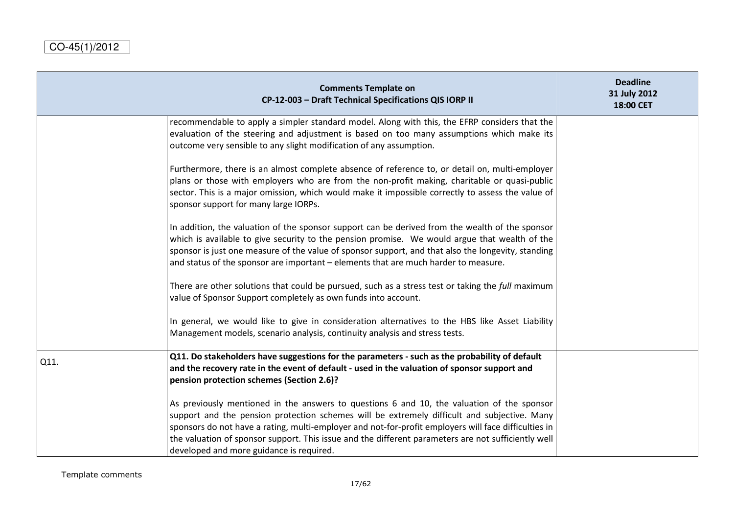|      | <b>Comments Template on</b><br>CP-12-003 - Draft Technical Specifications QIS IORP II                                                                                                                                                                                                                                                                                                                                                                | <b>Deadline</b><br>31 July 2012<br>18:00 CET |
|------|------------------------------------------------------------------------------------------------------------------------------------------------------------------------------------------------------------------------------------------------------------------------------------------------------------------------------------------------------------------------------------------------------------------------------------------------------|----------------------------------------------|
|      | recommendable to apply a simpler standard model. Along with this, the EFRP considers that the<br>evaluation of the steering and adjustment is based on too many assumptions which make its<br>outcome very sensible to any slight modification of any assumption.                                                                                                                                                                                    |                                              |
|      | Furthermore, there is an almost complete absence of reference to, or detail on, multi-employer<br>plans or those with employers who are from the non-profit making, charitable or quasi-public<br>sector. This is a major omission, which would make it impossible correctly to assess the value of<br>sponsor support for many large IORPs.                                                                                                         |                                              |
|      | In addition, the valuation of the sponsor support can be derived from the wealth of the sponsor<br>which is available to give security to the pension promise. We would argue that wealth of the<br>sponsor is just one measure of the value of sponsor support, and that also the longevity, standing<br>and status of the sponsor are important – elements that are much harder to measure.                                                        |                                              |
|      | There are other solutions that could be pursued, such as a stress test or taking the full maximum<br>value of Sponsor Support completely as own funds into account.                                                                                                                                                                                                                                                                                  |                                              |
|      | In general, we would like to give in consideration alternatives to the HBS like Asset Liability<br>Management models, scenario analysis, continuity analysis and stress tests.                                                                                                                                                                                                                                                                       |                                              |
| Q11. | Q11. Do stakeholders have suggestions for the parameters - such as the probability of default<br>and the recovery rate in the event of default - used in the valuation of sponsor support and<br>pension protection schemes (Section 2.6)?                                                                                                                                                                                                           |                                              |
|      | As previously mentioned in the answers to questions 6 and 10, the valuation of the sponsor<br>support and the pension protection schemes will be extremely difficult and subjective. Many<br>sponsors do not have a rating, multi-employer and not-for-profit employers will face difficulties in<br>the valuation of sponsor support. This issue and the different parameters are not sufficiently well<br>developed and more guidance is required. |                                              |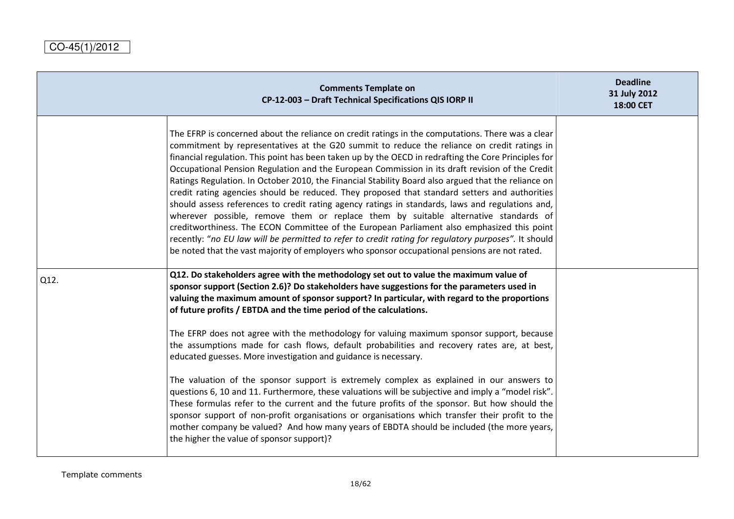|      | <b>Comments Template on</b><br>CP-12-003 - Draft Technical Specifications QIS IORP II                                                                                                                                                                                                                                                                                                                                                                                                                                                                                                                                                                                                                                                                                                                                                                                                                                                                                                                                                                                                                                                                                    | <b>Deadline</b><br>31 July 2012<br>18:00 CET |
|------|--------------------------------------------------------------------------------------------------------------------------------------------------------------------------------------------------------------------------------------------------------------------------------------------------------------------------------------------------------------------------------------------------------------------------------------------------------------------------------------------------------------------------------------------------------------------------------------------------------------------------------------------------------------------------------------------------------------------------------------------------------------------------------------------------------------------------------------------------------------------------------------------------------------------------------------------------------------------------------------------------------------------------------------------------------------------------------------------------------------------------------------------------------------------------|----------------------------------------------|
|      | The EFRP is concerned about the reliance on credit ratings in the computations. There was a clear<br>commitment by representatives at the G20 summit to reduce the reliance on credit ratings in<br>financial regulation. This point has been taken up by the OECD in redrafting the Core Principles for<br>Occupational Pension Regulation and the European Commission in its draft revision of the Credit<br>Ratings Regulation. In October 2010, the Financial Stability Board also argued that the reliance on<br>credit rating agencies should be reduced. They proposed that standard setters and authorities<br>should assess references to credit rating agency ratings in standards, laws and regulations and,<br>wherever possible, remove them or replace them by suitable alternative standards of<br>creditworthiness. The ECON Committee of the European Parliament also emphasized this point<br>recently: "no EU law will be permitted to refer to credit rating for regulatory purposes". It should<br>be noted that the vast majority of employers who sponsor occupational pensions are not rated.                                                    |                                              |
| Q12. | Q12. Do stakeholders agree with the methodology set out to value the maximum value of<br>sponsor support (Section 2.6)? Do stakeholders have suggestions for the parameters used in<br>valuing the maximum amount of sponsor support? In particular, with regard to the proportions<br>of future profits / EBTDA and the time period of the calculations.<br>The EFRP does not agree with the methodology for valuing maximum sponsor support, because<br>the assumptions made for cash flows, default probabilities and recovery rates are, at best,<br>educated guesses. More investigation and guidance is necessary.<br>The valuation of the sponsor support is extremely complex as explained in our answers to<br>questions 6, 10 and 11. Furthermore, these valuations will be subjective and imply a "model risk".<br>These formulas refer to the current and the future profits of the sponsor. But how should the<br>sponsor support of non-profit organisations or organisations which transfer their profit to the<br>mother company be valued? And how many years of EBDTA should be included (the more years,<br>the higher the value of sponsor support)? |                                              |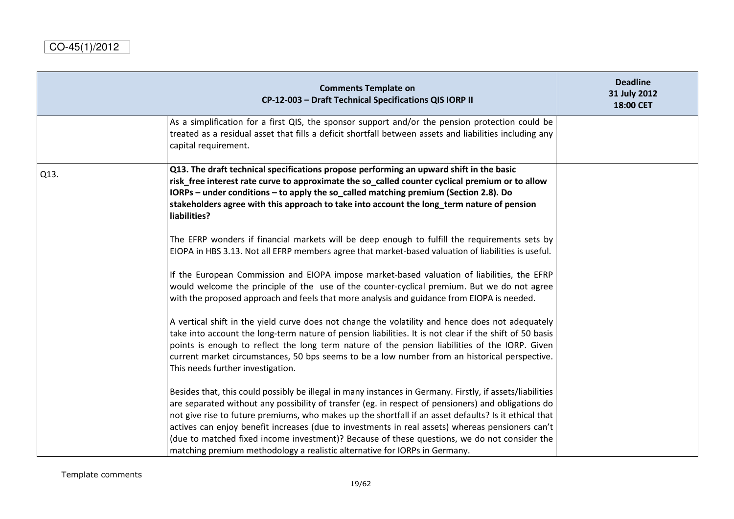|      | <b>Comments Template on</b><br>CP-12-003 - Draft Technical Specifications QIS IORP II                                                                                                                                                                                                                                                                                                                                                                                                                                                                                                                       | <b>Deadline</b><br>31 July 2012<br>18:00 CET |
|------|-------------------------------------------------------------------------------------------------------------------------------------------------------------------------------------------------------------------------------------------------------------------------------------------------------------------------------------------------------------------------------------------------------------------------------------------------------------------------------------------------------------------------------------------------------------------------------------------------------------|----------------------------------------------|
|      | As a simplification for a first QIS, the sponsor support and/or the pension protection could be<br>treated as a residual asset that fills a deficit shortfall between assets and liabilities including any<br>capital requirement.                                                                                                                                                                                                                                                                                                                                                                          |                                              |
| Q13. | Q13. The draft technical specifications propose performing an upward shift in the basic<br>risk_free interest rate curve to approximate the so_called counter cyclical premium or to allow<br>IORPs - under conditions - to apply the so_called matching premium (Section 2.8). Do<br>stakeholders agree with this approach to take into account the long_term nature of pension<br>liabilities?                                                                                                                                                                                                            |                                              |
|      | The EFRP wonders if financial markets will be deep enough to fulfill the requirements sets by<br>EIOPA in HBS 3.13. Not all EFRP members agree that market-based valuation of liabilities is useful.                                                                                                                                                                                                                                                                                                                                                                                                        |                                              |
|      | If the European Commission and EIOPA impose market-based valuation of liabilities, the EFRP<br>would welcome the principle of the use of the counter-cyclical premium. But we do not agree<br>with the proposed approach and feels that more analysis and guidance from EIOPA is needed.                                                                                                                                                                                                                                                                                                                    |                                              |
|      | A vertical shift in the yield curve does not change the volatility and hence does not adequately<br>take into account the long-term nature of pension liabilities. It is not clear if the shift of 50 basis<br>points is enough to reflect the long term nature of the pension liabilities of the IORP. Given<br>current market circumstances, 50 bps seems to be a low number from an historical perspective.<br>This needs further investigation.                                                                                                                                                         |                                              |
|      | Besides that, this could possibly be illegal in many instances in Germany. Firstly, if assets/liabilities<br>are separated without any possibility of transfer (eg. in respect of pensioners) and obligations do<br>not give rise to future premiums, who makes up the shortfall if an asset defaults? Is it ethical that<br>actives can enjoy benefit increases (due to investments in real assets) whereas pensioners can't<br>(due to matched fixed income investment)? Because of these questions, we do not consider the<br>matching premium methodology a realistic alternative for IORPs in Germany. |                                              |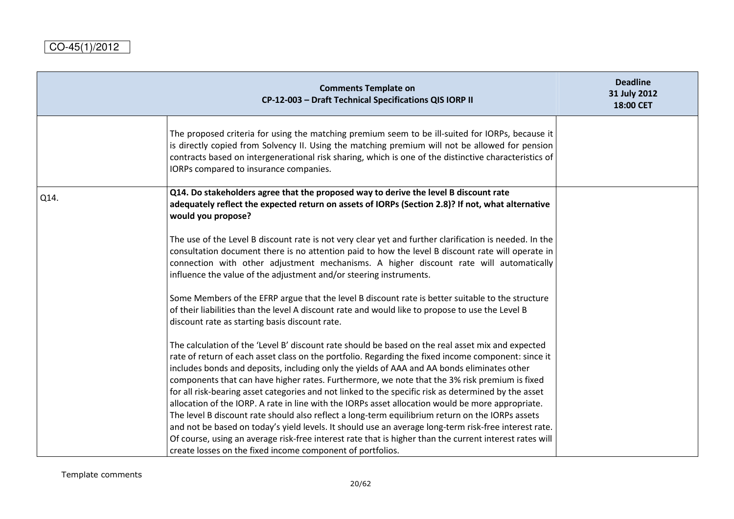|      | <b>Comments Template on</b><br>CP-12-003 - Draft Technical Specifications QIS IORP II                                                                                                                                                                                                                                                                                                                                                                                                                                                                                                                                                                                                                                                                                                                                                                                                                                                                                                                       | <b>Deadline</b><br>31 July 2012<br>18:00 CET |
|------|-------------------------------------------------------------------------------------------------------------------------------------------------------------------------------------------------------------------------------------------------------------------------------------------------------------------------------------------------------------------------------------------------------------------------------------------------------------------------------------------------------------------------------------------------------------------------------------------------------------------------------------------------------------------------------------------------------------------------------------------------------------------------------------------------------------------------------------------------------------------------------------------------------------------------------------------------------------------------------------------------------------|----------------------------------------------|
|      | The proposed criteria for using the matching premium seem to be ill-suited for IORPs, because it<br>is directly copied from Solvency II. Using the matching premium will not be allowed for pension<br>contracts based on intergenerational risk sharing, which is one of the distinctive characteristics of<br>IORPs compared to insurance companies.                                                                                                                                                                                                                                                                                                                                                                                                                                                                                                                                                                                                                                                      |                                              |
| Q14. | Q14. Do stakeholders agree that the proposed way to derive the level B discount rate<br>adequately reflect the expected return on assets of IORPs (Section 2.8)? If not, what alternative<br>would you propose?                                                                                                                                                                                                                                                                                                                                                                                                                                                                                                                                                                                                                                                                                                                                                                                             |                                              |
|      | The use of the Level B discount rate is not very clear yet and further clarification is needed. In the<br>consultation document there is no attention paid to how the level B discount rate will operate in<br>connection with other adjustment mechanisms. A higher discount rate will automatically<br>influence the value of the adjustment and/or steering instruments.                                                                                                                                                                                                                                                                                                                                                                                                                                                                                                                                                                                                                                 |                                              |
|      | Some Members of the EFRP argue that the level B discount rate is better suitable to the structure<br>of their liabilities than the level A discount rate and would like to propose to use the Level B<br>discount rate as starting basis discount rate.                                                                                                                                                                                                                                                                                                                                                                                                                                                                                                                                                                                                                                                                                                                                                     |                                              |
|      | The calculation of the 'Level B' discount rate should be based on the real asset mix and expected<br>rate of return of each asset class on the portfolio. Regarding the fixed income component: since it<br>includes bonds and deposits, including only the yields of AAA and AA bonds eliminates other<br>components that can have higher rates. Furthermore, we note that the 3% risk premium is fixed<br>for all risk-bearing asset categories and not linked to the specific risk as determined by the asset<br>allocation of the IORP. A rate in line with the IORPs asset allocation would be more appropriate.<br>The level B discount rate should also reflect a long-term equilibrium return on the IORPs assets<br>and not be based on today's yield levels. It should use an average long-term risk-free interest rate.<br>Of course, using an average risk-free interest rate that is higher than the current interest rates will<br>create losses on the fixed income component of portfolios. |                                              |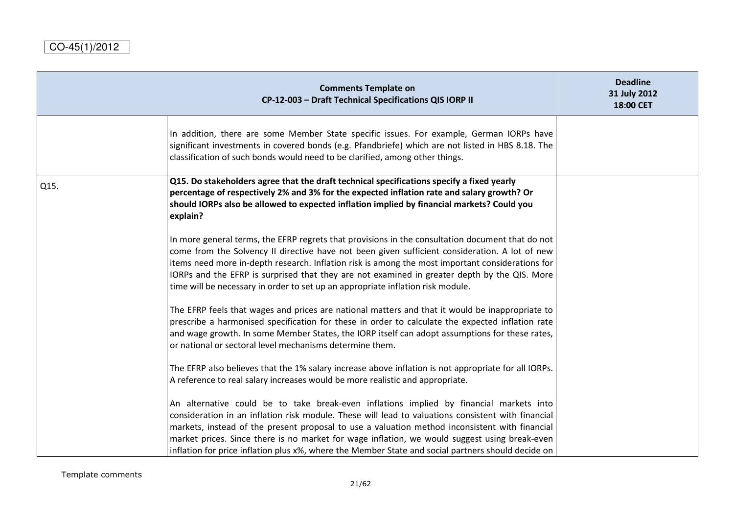|      | <b>Comments Template on</b><br>CP-12-003 - Draft Technical Specifications QIS IORP II                                                                                                                                                                                                                                                                                                                                                                                                                  | <b>Deadline</b><br>31 July 2012<br>18:00 CET |
|------|--------------------------------------------------------------------------------------------------------------------------------------------------------------------------------------------------------------------------------------------------------------------------------------------------------------------------------------------------------------------------------------------------------------------------------------------------------------------------------------------------------|----------------------------------------------|
|      | In addition, there are some Member State specific issues. For example, German IORPs have<br>significant investments in covered bonds (e.g. Pfandbriefe) which are not listed in HBS 8.18. The<br>classification of such bonds would need to be clarified, among other things.                                                                                                                                                                                                                          |                                              |
| Q15. | Q15. Do stakeholders agree that the draft technical specifications specify a fixed yearly<br>percentage of respectively 2% and 3% for the expected inflation rate and salary growth? Or<br>should IORPs also be allowed to expected inflation implied by financial markets? Could you<br>explain?                                                                                                                                                                                                      |                                              |
|      | In more general terms, the EFRP regrets that provisions in the consultation document that do not<br>come from the Solvency II directive have not been given sufficient consideration. A lot of new<br>items need more in-depth research. Inflation risk is among the most important considerations for<br>IORPs and the EFRP is surprised that they are not examined in greater depth by the QIS. More<br>time will be necessary in order to set up an appropriate inflation risk module.              |                                              |
|      | The EFRP feels that wages and prices are national matters and that it would be inappropriate to<br>prescribe a harmonised specification for these in order to calculate the expected inflation rate<br>and wage growth. In some Member States, the IORP itself can adopt assumptions for these rates,<br>or national or sectoral level mechanisms determine them.                                                                                                                                      |                                              |
|      | The EFRP also believes that the 1% salary increase above inflation is not appropriate for all IORPs.<br>A reference to real salary increases would be more realistic and appropriate.                                                                                                                                                                                                                                                                                                                  |                                              |
|      | An alternative could be to take break-even inflations implied by financial markets into<br>consideration in an inflation risk module. These will lead to valuations consistent with financial<br>markets, instead of the present proposal to use a valuation method inconsistent with financial<br>market prices. Since there is no market for wage inflation, we would suggest using break-even<br>inflation for price inflation plus x%, where the Member State and social partners should decide on |                                              |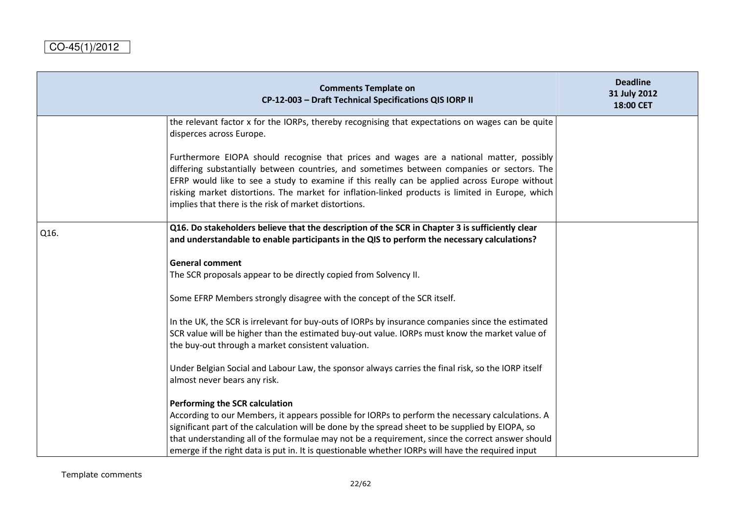| <b>Comments Template on</b><br>CP-12-003 - Draft Technical Specifications QIS IORP II                                                                                                                                                                                                                                                                                                                                                                | <b>Deadline</b><br>31 July 2012<br>18:00 CET                                                                                                                                                                                                                                                              |
|------------------------------------------------------------------------------------------------------------------------------------------------------------------------------------------------------------------------------------------------------------------------------------------------------------------------------------------------------------------------------------------------------------------------------------------------------|-----------------------------------------------------------------------------------------------------------------------------------------------------------------------------------------------------------------------------------------------------------------------------------------------------------|
| the relevant factor x for the IORPs, thereby recognising that expectations on wages can be quite<br>disperces across Europe.                                                                                                                                                                                                                                                                                                                         |                                                                                                                                                                                                                                                                                                           |
| Furthermore EIOPA should recognise that prices and wages are a national matter, possibly<br>differing substantially between countries, and sometimes between companies or sectors. The<br>EFRP would like to see a study to examine if this really can be applied across Europe without<br>risking market distortions. The market for inflation-linked products is limited in Europe, which<br>implies that there is the risk of market distortions. |                                                                                                                                                                                                                                                                                                           |
| Q16. Do stakeholders believe that the description of the SCR in Chapter 3 is sufficiently clear<br>and understandable to enable participants in the QIS to perform the necessary calculations?                                                                                                                                                                                                                                                       |                                                                                                                                                                                                                                                                                                           |
| <b>General comment</b><br>The SCR proposals appear to be directly copied from Solvency II.                                                                                                                                                                                                                                                                                                                                                           |                                                                                                                                                                                                                                                                                                           |
| Some EFRP Members strongly disagree with the concept of the SCR itself.                                                                                                                                                                                                                                                                                                                                                                              |                                                                                                                                                                                                                                                                                                           |
| In the UK, the SCR is irrelevant for buy-outs of IORPs by insurance companies since the estimated<br>SCR value will be higher than the estimated buy-out value. IORPs must know the market value of<br>the buy-out through a market consistent valuation.                                                                                                                                                                                            |                                                                                                                                                                                                                                                                                                           |
| Under Belgian Social and Labour Law, the sponsor always carries the final risk, so the IORP itself<br>almost never bears any risk.                                                                                                                                                                                                                                                                                                                   |                                                                                                                                                                                                                                                                                                           |
| Performing the SCR calculation                                                                                                                                                                                                                                                                                                                                                                                                                       |                                                                                                                                                                                                                                                                                                           |
| According to our Members, it appears possible for IORPs to perform the necessary calculations. A                                                                                                                                                                                                                                                                                                                                                     |                                                                                                                                                                                                                                                                                                           |
|                                                                                                                                                                                                                                                                                                                                                                                                                                                      |                                                                                                                                                                                                                                                                                                           |
|                                                                                                                                                                                                                                                                                                                                                                                                                                                      |                                                                                                                                                                                                                                                                                                           |
|                                                                                                                                                                                                                                                                                                                                                                                                                                                      | significant part of the calculation will be done by the spread sheet to be supplied by EIOPA, so<br>that understanding all of the formulae may not be a requirement, since the correct answer should<br>emerge if the right data is put in. It is questionable whether IORPs will have the required input |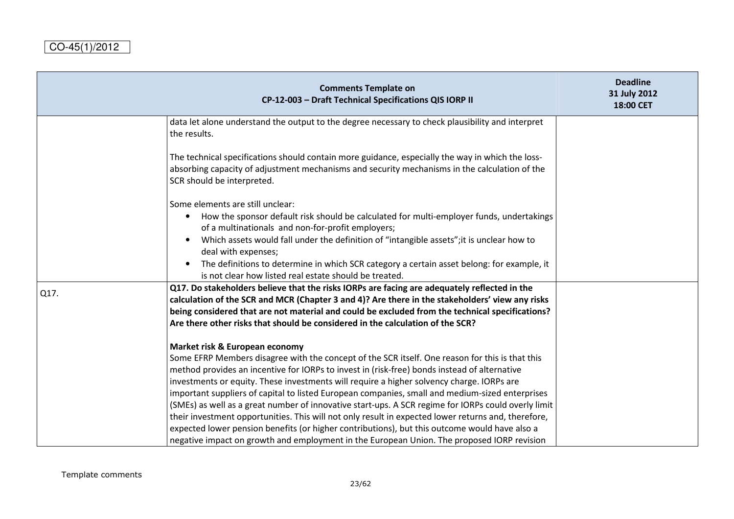|      | <b>Comments Template on</b><br>CP-12-003 - Draft Technical Specifications QIS IORP II                                                                                                                                                                                                                                                                                                                                                                                                                                                                                                                                                           | <b>Deadline</b><br>31 July 2012<br>18:00 CET |
|------|-------------------------------------------------------------------------------------------------------------------------------------------------------------------------------------------------------------------------------------------------------------------------------------------------------------------------------------------------------------------------------------------------------------------------------------------------------------------------------------------------------------------------------------------------------------------------------------------------------------------------------------------------|----------------------------------------------|
|      | data let alone understand the output to the degree necessary to check plausibility and interpret<br>the results.                                                                                                                                                                                                                                                                                                                                                                                                                                                                                                                                |                                              |
|      | The technical specifications should contain more guidance, especially the way in which the loss-<br>absorbing capacity of adjustment mechanisms and security mechanisms in the calculation of the<br>SCR should be interpreted.                                                                                                                                                                                                                                                                                                                                                                                                                 |                                              |
|      | Some elements are still unclear:<br>How the sponsor default risk should be calculated for multi-employer funds, undertakings<br>of a multinationals and non-for-profit employers;                                                                                                                                                                                                                                                                                                                                                                                                                                                               |                                              |
|      | Which assets would fall under the definition of "intangible assets"; it is unclear how to<br>deal with expenses;<br>The definitions to determine in which SCR category a certain asset belong: for example, it<br>is not clear how listed real estate should be treated.                                                                                                                                                                                                                                                                                                                                                                        |                                              |
| Q17. | Q17. Do stakeholders believe that the risks IORPs are facing are adequately reflected in the<br>calculation of the SCR and MCR (Chapter 3 and 4)? Are there in the stakeholders' view any risks<br>being considered that are not material and could be excluded from the technical specifications?<br>Are there other risks that should be considered in the calculation of the SCR?                                                                                                                                                                                                                                                            |                                              |
|      | Market risk & European economy<br>Some EFRP Members disagree with the concept of the SCR itself. One reason for this is that this<br>method provides an incentive for IORPs to invest in (risk-free) bonds instead of alternative<br>investments or equity. These investments will require a higher solvency charge. IORPs are<br>important suppliers of capital to listed European companies, small and medium-sized enterprises<br>(SMEs) as well as a great number of innovative start-ups. A SCR regime for IORPs could overly limit<br>their investment opportunities. This will not only result in expected lower returns and, therefore, |                                              |
|      | expected lower pension benefits (or higher contributions), but this outcome would have also a<br>negative impact on growth and employment in the European Union. The proposed IORP revision                                                                                                                                                                                                                                                                                                                                                                                                                                                     |                                              |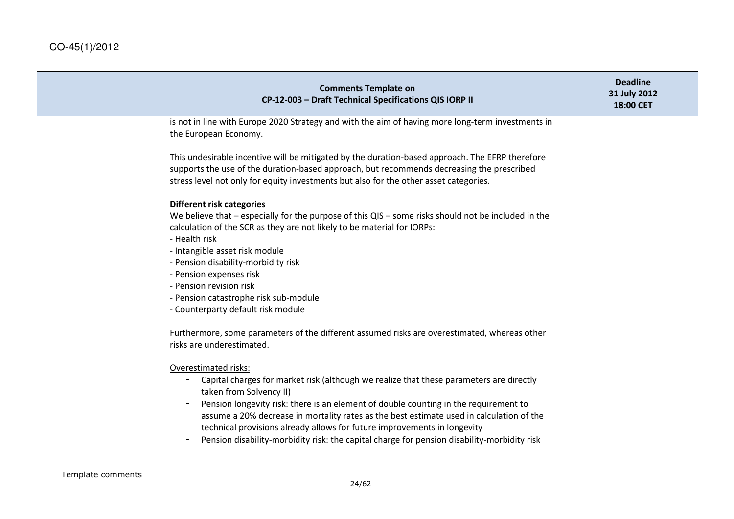| <b>Comments Template on</b><br>CP-12-003 - Draft Technical Specifications QIS IORP II                                                                                                                                                                                                                                                                                                                                                                                                                     | <b>Deadline</b><br>31 July 2012<br>18:00 CET |
|-----------------------------------------------------------------------------------------------------------------------------------------------------------------------------------------------------------------------------------------------------------------------------------------------------------------------------------------------------------------------------------------------------------------------------------------------------------------------------------------------------------|----------------------------------------------|
| is not in line with Europe 2020 Strategy and with the aim of having more long-term investments in<br>the European Economy.                                                                                                                                                                                                                                                                                                                                                                                |                                              |
| This undesirable incentive will be mitigated by the duration-based approach. The EFRP therefore<br>supports the use of the duration-based approach, but recommends decreasing the prescribed<br>stress level not only for equity investments but also for the other asset categories.                                                                                                                                                                                                                     |                                              |
| <b>Different risk categories</b><br>We believe that $-$ especially for the purpose of this QIS $-$ some risks should not be included in the<br>calculation of the SCR as they are not likely to be material for IORPs:<br>- Health risk<br>- Intangible asset risk module<br>- Pension disability-morbidity risk<br>- Pension expenses risk<br>- Pension revision risk<br>- Pension catastrophe risk sub-module<br>- Counterparty default risk module                                                     |                                              |
| Furthermore, some parameters of the different assumed risks are overestimated, whereas other<br>risks are underestimated.                                                                                                                                                                                                                                                                                                                                                                                 |                                              |
| Overestimated risks:<br>Capital charges for market risk (although we realize that these parameters are directly<br>taken from Solvency II)<br>Pension longevity risk: there is an element of double counting in the requirement to<br>assume a 20% decrease in mortality rates as the best estimate used in calculation of the<br>technical provisions already allows for future improvements in longevity<br>Pension disability-morbidity risk: the capital charge for pension disability-morbidity risk |                                              |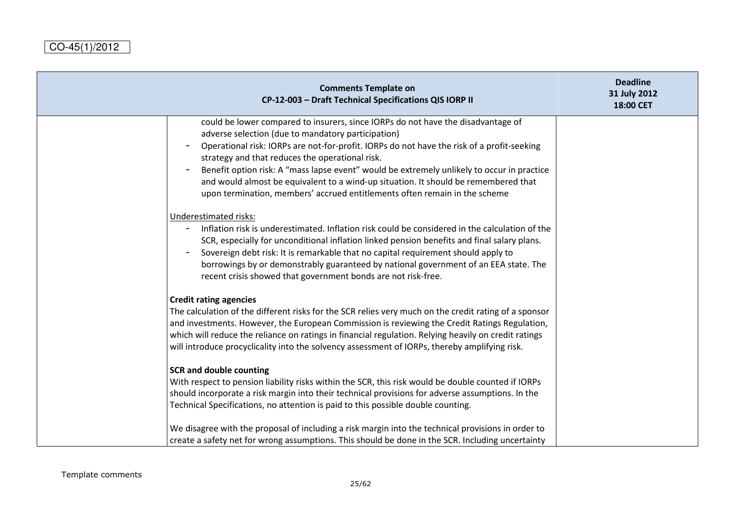| <b>Comments Template on</b><br>CP-12-003 - Draft Technical Specifications QIS IORP II                                                                                                                                                                                                                                                                                                                                                                                                                                                                      | <b>Deadline</b><br>31 July 2012<br>18:00 CET |
|------------------------------------------------------------------------------------------------------------------------------------------------------------------------------------------------------------------------------------------------------------------------------------------------------------------------------------------------------------------------------------------------------------------------------------------------------------------------------------------------------------------------------------------------------------|----------------------------------------------|
| could be lower compared to insurers, since IORPs do not have the disadvantage of<br>adverse selection (due to mandatory participation)<br>Operational risk: IORPs are not-for-profit. IORPs do not have the risk of a profit-seeking<br>strategy and that reduces the operational risk.<br>Benefit option risk: A "mass lapse event" would be extremely unlikely to occur in practice<br>and would almost be equivalent to a wind-up situation. It should be remembered that<br>upon termination, members' accrued entitlements often remain in the scheme |                                              |
| Underestimated risks:<br>Inflation risk is underestimated. Inflation risk could be considered in the calculation of the<br>SCR, especially for unconditional inflation linked pension benefits and final salary plans.<br>Sovereign debt risk: It is remarkable that no capital requirement should apply to<br>borrowings by or demonstrably guaranteed by national government of an EEA state. The<br>recent crisis showed that government bonds are not risk-free.                                                                                       |                                              |
| <b>Credit rating agencies</b><br>The calculation of the different risks for the SCR relies very much on the credit rating of a sponsor<br>and investments. However, the European Commission is reviewing the Credit Ratings Regulation,<br>which will reduce the reliance on ratings in financial regulation. Relying heavily on credit ratings<br>will introduce procyclicality into the solvency assessment of IORPs, thereby amplifying risk.                                                                                                           |                                              |
| <b>SCR and double counting</b><br>With respect to pension liability risks within the SCR, this risk would be double counted if IORPs<br>should incorporate a risk margin into their technical provisions for adverse assumptions. In the<br>Technical Specifications, no attention is paid to this possible double counting.<br>We disagree with the proposal of including a risk margin into the technical provisions in order to<br>create a safety net for wrong assumptions. This should be done in the SCR. Including uncertainty                     |                                              |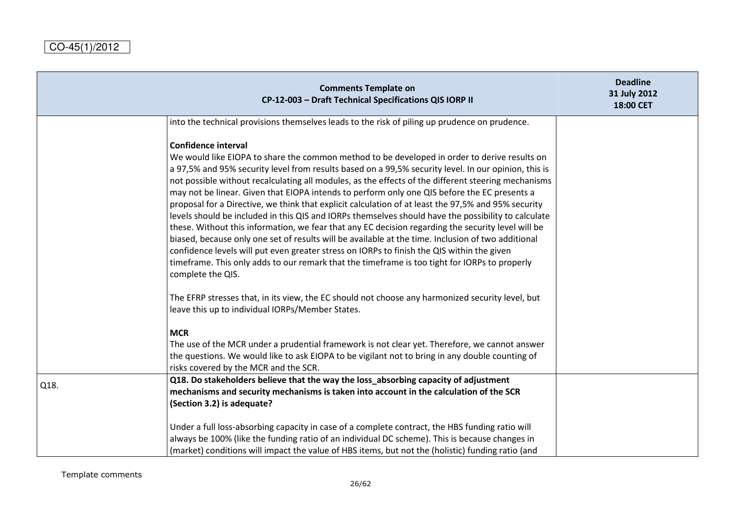|      | <b>Comments Template on</b><br>CP-12-003 - Draft Technical Specifications QIS IORP II                                                                                                                                                                                                                                                                                                                                                                                                                                                                                                                                                                                                                                                                                                                                                                                                                                                                                                                                                                                                   | <b>Deadline</b><br>31 July 2012<br>18:00 CET |
|------|-----------------------------------------------------------------------------------------------------------------------------------------------------------------------------------------------------------------------------------------------------------------------------------------------------------------------------------------------------------------------------------------------------------------------------------------------------------------------------------------------------------------------------------------------------------------------------------------------------------------------------------------------------------------------------------------------------------------------------------------------------------------------------------------------------------------------------------------------------------------------------------------------------------------------------------------------------------------------------------------------------------------------------------------------------------------------------------------|----------------------------------------------|
|      | into the technical provisions themselves leads to the risk of piling up prudence on prudence.                                                                                                                                                                                                                                                                                                                                                                                                                                                                                                                                                                                                                                                                                                                                                                                                                                                                                                                                                                                           |                                              |
|      | <b>Confidence interval</b><br>We would like EIOPA to share the common method to be developed in order to derive results on<br>a 97,5% and 95% security level from results based on a 99,5% security level. In our opinion, this is<br>not possible without recalculating all modules, as the effects of the different steering mechanisms<br>may not be linear. Given that EIOPA intends to perform only one QIS before the EC presents a<br>proposal for a Directive, we think that explicit calculation of at least the 97,5% and 95% security<br>levels should be included in this QIS and IORPs themselves should have the possibility to calculate<br>these. Without this information, we fear that any EC decision regarding the security level will be<br>biased, because only one set of results will be available at the time. Inclusion of two additional<br>confidence levels will put even greater stress on IORPs to finish the QIS within the given<br>timeframe. This only adds to our remark that the timeframe is too tight for IORPs to properly<br>complete the QIS. |                                              |
|      | The EFRP stresses that, in its view, the EC should not choose any harmonized security level, but<br>leave this up to individual IORPs/Member States.                                                                                                                                                                                                                                                                                                                                                                                                                                                                                                                                                                                                                                                                                                                                                                                                                                                                                                                                    |                                              |
|      | <b>MCR</b><br>The use of the MCR under a prudential framework is not clear yet. Therefore, we cannot answer<br>the questions. We would like to ask EIOPA to be vigilant not to bring in any double counting of<br>risks covered by the MCR and the SCR.                                                                                                                                                                                                                                                                                                                                                                                                                                                                                                                                                                                                                                                                                                                                                                                                                                 |                                              |
| Q18. | Q18. Do stakeholders believe that the way the loss_absorbing capacity of adjustment<br>mechanisms and security mechanisms is taken into account in the calculation of the SCR<br>(Section 3.2) is adequate?<br>Under a full loss-absorbing capacity in case of a complete contract, the HBS funding ratio will<br>always be 100% (like the funding ratio of an individual DC scheme). This is because changes in<br>(market) conditions will impact the value of HBS items, but not the (holistic) funding ratio (and                                                                                                                                                                                                                                                                                                                                                                                                                                                                                                                                                                   |                                              |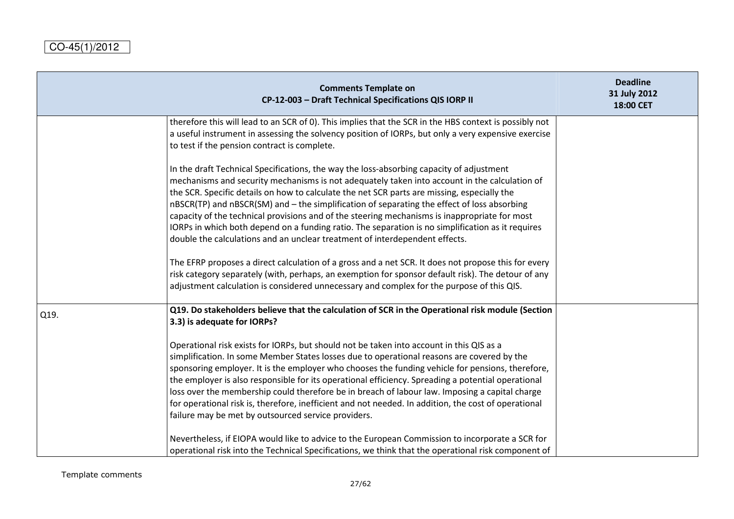|      | <b>Comments Template on</b><br>CP-12-003 - Draft Technical Specifications QIS IORP II                                                                                                                                                                                                                                                                                                                                                                                                                                                                                                                                                                                        | <b>Deadline</b><br>31 July 2012<br>18:00 CET |
|------|------------------------------------------------------------------------------------------------------------------------------------------------------------------------------------------------------------------------------------------------------------------------------------------------------------------------------------------------------------------------------------------------------------------------------------------------------------------------------------------------------------------------------------------------------------------------------------------------------------------------------------------------------------------------------|----------------------------------------------|
|      | therefore this will lead to an SCR of 0). This implies that the SCR in the HBS context is possibly not<br>a useful instrument in assessing the solvency position of IORPs, but only a very expensive exercise<br>to test if the pension contract is complete.                                                                                                                                                                                                                                                                                                                                                                                                                |                                              |
|      | In the draft Technical Specifications, the way the loss-absorbing capacity of adjustment<br>mechanisms and security mechanisms is not adequately taken into account in the calculation of<br>the SCR. Specific details on how to calculate the net SCR parts are missing, especially the<br>nBSCR(TP) and nBSCR(SM) and - the simplification of separating the effect of loss absorbing<br>capacity of the technical provisions and of the steering mechanisms is inappropriate for most<br>IORPs in which both depend on a funding ratio. The separation is no simplification as it requires<br>double the calculations and an unclear treatment of interdependent effects. |                                              |
|      | The EFRP proposes a direct calculation of a gross and a net SCR. It does not propose this for every<br>risk category separately (with, perhaps, an exemption for sponsor default risk). The detour of any<br>adjustment calculation is considered unnecessary and complex for the purpose of this QIS.                                                                                                                                                                                                                                                                                                                                                                       |                                              |
| Q19. | Q19. Do stakeholders believe that the calculation of SCR in the Operational risk module (Section<br>3.3) is adequate for IORPs?                                                                                                                                                                                                                                                                                                                                                                                                                                                                                                                                              |                                              |
|      | Operational risk exists for IORPs, but should not be taken into account in this QIS as a<br>simplification. In some Member States losses due to operational reasons are covered by the<br>sponsoring employer. It is the employer who chooses the funding vehicle for pensions, therefore,<br>the employer is also responsible for its operational efficiency. Spreading a potential operational<br>loss over the membership could therefore be in breach of labour law. Imposing a capital charge<br>for operational risk is, therefore, inefficient and not needed. In addition, the cost of operational<br>failure may be met by outsourced service providers.            |                                              |
|      | Nevertheless, if EIOPA would like to advice to the European Commission to incorporate a SCR for<br>operational risk into the Technical Specifications, we think that the operational risk component of                                                                                                                                                                                                                                                                                                                                                                                                                                                                       |                                              |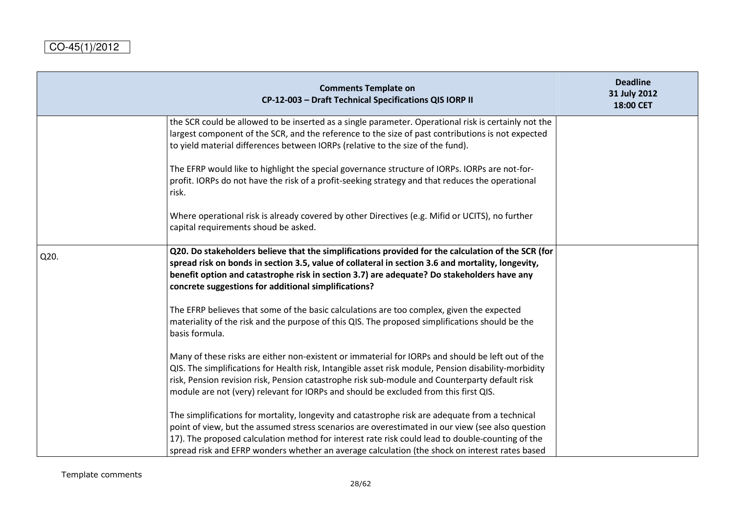|      | <b>Comments Template on</b><br>CP-12-003 - Draft Technical Specifications QIS IORP II                                                                                                                                                                                                                                                                                                                     | <b>Deadline</b><br>31 July 2012<br>18:00 CET |
|------|-----------------------------------------------------------------------------------------------------------------------------------------------------------------------------------------------------------------------------------------------------------------------------------------------------------------------------------------------------------------------------------------------------------|----------------------------------------------|
|      | the SCR could be allowed to be inserted as a single parameter. Operational risk is certainly not the<br>largest component of the SCR, and the reference to the size of past contributions is not expected<br>to yield material differences between IORPs (relative to the size of the fund).                                                                                                              |                                              |
|      | The EFRP would like to highlight the special governance structure of IORPs. IORPs are not-for-<br>profit. IORPs do not have the risk of a profit-seeking strategy and that reduces the operational<br>risk.                                                                                                                                                                                               |                                              |
|      | Where operational risk is already covered by other Directives (e.g. Mifid or UCITS), no further<br>capital requirements shoud be asked.                                                                                                                                                                                                                                                                   |                                              |
| Q20. | Q20. Do stakeholders believe that the simplifications provided for the calculation of the SCR (for<br>spread risk on bonds in section 3.5, value of collateral in section 3.6 and mortality, longevity,<br>benefit option and catastrophe risk in section 3.7) are adequate? Do stakeholders have any<br>concrete suggestions for additional simplifications?                                             |                                              |
|      | The EFRP believes that some of the basic calculations are too complex, given the expected<br>materiality of the risk and the purpose of this QIS. The proposed simplifications should be the<br>basis formula.                                                                                                                                                                                            |                                              |
|      | Many of these risks are either non-existent or immaterial for IORPs and should be left out of the<br>QIS. The simplifications for Health risk, Intangible asset risk module, Pension disability-morbidity<br>risk, Pension revision risk, Pension catastrophe risk sub-module and Counterparty default risk<br>module are not (very) relevant for IORPs and should be excluded from this first QIS.       |                                              |
|      | The simplifications for mortality, longevity and catastrophe risk are adequate from a technical<br>point of view, but the assumed stress scenarios are overestimated in our view (see also question<br>17). The proposed calculation method for interest rate risk could lead to double-counting of the<br>spread risk and EFRP wonders whether an average calculation (the shock on interest rates based |                                              |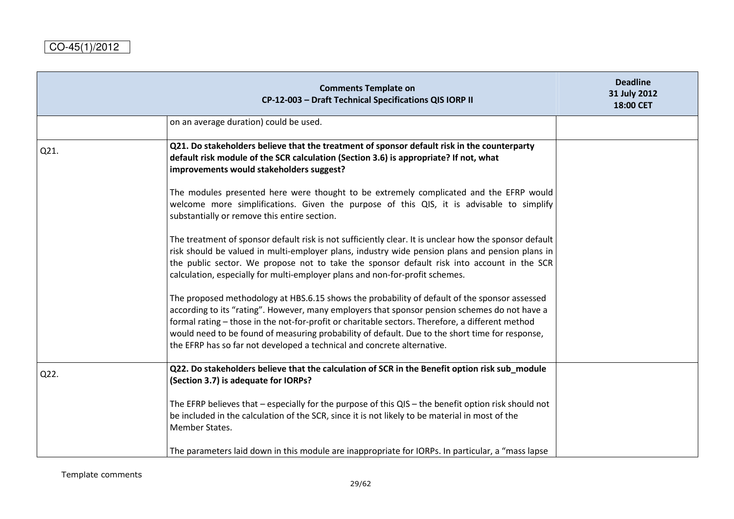|      | <b>Comments Template on</b><br>CP-12-003 - Draft Technical Specifications QIS IORP II                                                                                                                                                                                                                                                                                                                                                                                            | <b>Deadline</b><br>31 July 2012<br>18:00 CET |
|------|----------------------------------------------------------------------------------------------------------------------------------------------------------------------------------------------------------------------------------------------------------------------------------------------------------------------------------------------------------------------------------------------------------------------------------------------------------------------------------|----------------------------------------------|
|      | on an average duration) could be used.                                                                                                                                                                                                                                                                                                                                                                                                                                           |                                              |
| Q21. | Q21. Do stakeholders believe that the treatment of sponsor default risk in the counterparty<br>default risk module of the SCR calculation (Section 3.6) is appropriate? If not, what<br>improvements would stakeholders suggest?                                                                                                                                                                                                                                                 |                                              |
|      | The modules presented here were thought to be extremely complicated and the EFRP would<br>welcome more simplifications. Given the purpose of this QIS, it is advisable to simplify<br>substantially or remove this entire section.                                                                                                                                                                                                                                               |                                              |
|      | The treatment of sponsor default risk is not sufficiently clear. It is unclear how the sponsor default<br>risk should be valued in multi-employer plans, industry wide pension plans and pension plans in<br>the public sector. We propose not to take the sponsor default risk into account in the SCR<br>calculation, especially for multi-employer plans and non-for-profit schemes.                                                                                          |                                              |
|      | The proposed methodology at HBS.6.15 shows the probability of default of the sponsor assessed<br>according to its "rating". However, many employers that sponsor pension schemes do not have a<br>formal rating - those in the not-for-profit or charitable sectors. Therefore, a different method<br>would need to be found of measuring probability of default. Due to the short time for response,<br>the EFRP has so far not developed a technical and concrete alternative. |                                              |
| Q22. | Q22. Do stakeholders believe that the calculation of SCR in the Benefit option risk sub_module<br>(Section 3.7) is adequate for IORPs?                                                                                                                                                                                                                                                                                                                                           |                                              |
|      | The EFRP believes that – especially for the purpose of this QIS – the benefit option risk should not<br>be included in the calculation of the SCR, since it is not likely to be material in most of the<br>Member States.                                                                                                                                                                                                                                                        |                                              |
|      | The parameters laid down in this module are inappropriate for IORPs. In particular, a "mass lapse                                                                                                                                                                                                                                                                                                                                                                                |                                              |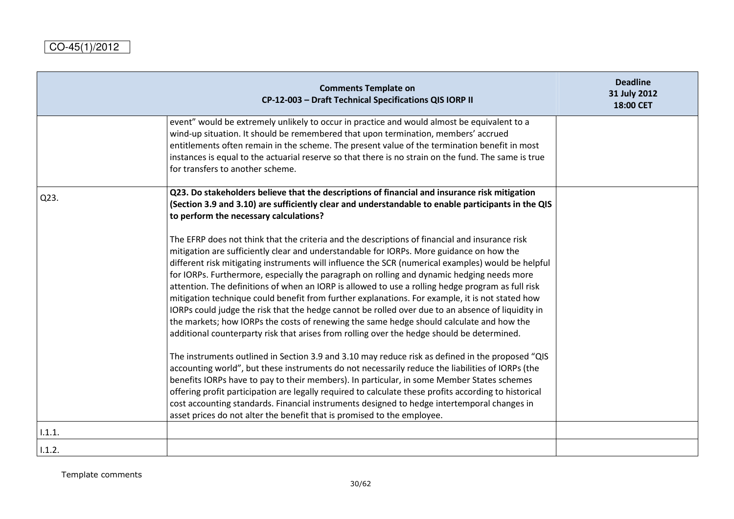|        | <b>Comments Template on</b><br>CP-12-003 - Draft Technical Specifications QIS IORP II                                                                                                                                                                                                                                                                                                                                                                                                                                                                                                                                                                                                                                                                                                                                                                                                                                                                                                                                                                                                                                                                                                                                                                                                                                                                                                                                                                                                          | <b>Deadline</b><br>31 July 2012<br>18:00 CET |
|--------|------------------------------------------------------------------------------------------------------------------------------------------------------------------------------------------------------------------------------------------------------------------------------------------------------------------------------------------------------------------------------------------------------------------------------------------------------------------------------------------------------------------------------------------------------------------------------------------------------------------------------------------------------------------------------------------------------------------------------------------------------------------------------------------------------------------------------------------------------------------------------------------------------------------------------------------------------------------------------------------------------------------------------------------------------------------------------------------------------------------------------------------------------------------------------------------------------------------------------------------------------------------------------------------------------------------------------------------------------------------------------------------------------------------------------------------------------------------------------------------------|----------------------------------------------|
|        | event" would be extremely unlikely to occur in practice and would almost be equivalent to a<br>wind-up situation. It should be remembered that upon termination, members' accrued<br>entitlements often remain in the scheme. The present value of the termination benefit in most<br>instances is equal to the actuarial reserve so that there is no strain on the fund. The same is true<br>for transfers to another scheme.                                                                                                                                                                                                                                                                                                                                                                                                                                                                                                                                                                                                                                                                                                                                                                                                                                                                                                                                                                                                                                                                 |                                              |
| Q23.   | Q23. Do stakeholders believe that the descriptions of financial and insurance risk mitigation<br>(Section 3.9 and 3.10) are sufficiently clear and understandable to enable participants in the QIS<br>to perform the necessary calculations?                                                                                                                                                                                                                                                                                                                                                                                                                                                                                                                                                                                                                                                                                                                                                                                                                                                                                                                                                                                                                                                                                                                                                                                                                                                  |                                              |
|        | The EFRP does not think that the criteria and the descriptions of financial and insurance risk<br>mitigation are sufficiently clear and understandable for IORPs. More guidance on how the<br>different risk mitigating instruments will influence the SCR (numerical examples) would be helpful<br>for IORPs. Furthermore, especially the paragraph on rolling and dynamic hedging needs more<br>attention. The definitions of when an IORP is allowed to use a rolling hedge program as full risk<br>mitigation technique could benefit from further explanations. For example, it is not stated how<br>IORPs could judge the risk that the hedge cannot be rolled over due to an absence of liquidity in<br>the markets; how IORPs the costs of renewing the same hedge should calculate and how the<br>additional counterparty risk that arises from rolling over the hedge should be determined.<br>The instruments outlined in Section 3.9 and 3.10 may reduce risk as defined in the proposed "QIS<br>accounting world", but these instruments do not necessarily reduce the liabilities of IORPs (the<br>benefits IORPs have to pay to their members). In particular, in some Member States schemes<br>offering profit participation are legally required to calculate these profits according to historical<br>cost accounting standards. Financial instruments designed to hedge intertemporal changes in<br>asset prices do not alter the benefit that is promised to the employee. |                                              |
| 1.1.1. |                                                                                                                                                                                                                                                                                                                                                                                                                                                                                                                                                                                                                                                                                                                                                                                                                                                                                                                                                                                                                                                                                                                                                                                                                                                                                                                                                                                                                                                                                                |                                              |
| 1.1.2. |                                                                                                                                                                                                                                                                                                                                                                                                                                                                                                                                                                                                                                                                                                                                                                                                                                                                                                                                                                                                                                                                                                                                                                                                                                                                                                                                                                                                                                                                                                |                                              |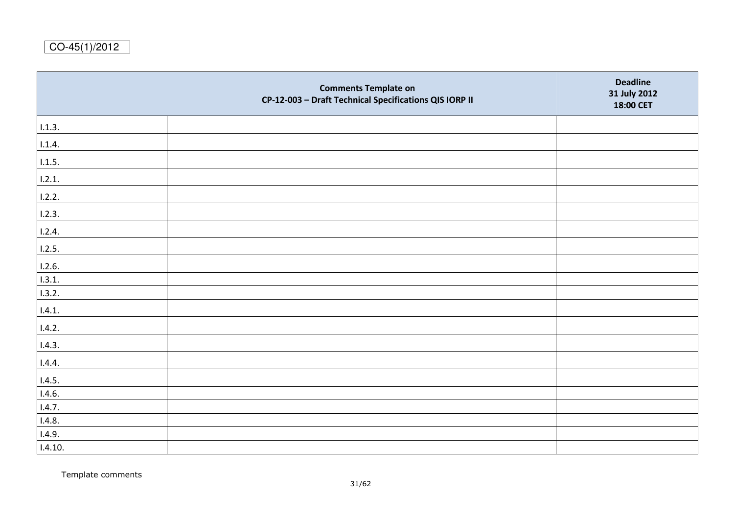|         | <b>Comments Template on</b><br>CP-12-003 - Draft Technical Specifications QIS IORP II | <b>Deadline</b><br>31 July 2012<br>18:00 CET |
|---------|---------------------------------------------------------------------------------------|----------------------------------------------|
| 1.1.3.  |                                                                                       |                                              |
| 1.1.4.  |                                                                                       |                                              |
| 1.1.5.  |                                                                                       |                                              |
| 1.2.1.  |                                                                                       |                                              |
| 1.2.2.  |                                                                                       |                                              |
| 1.2.3.  |                                                                                       |                                              |
| 1.2.4.  |                                                                                       |                                              |
| 1.2.5.  |                                                                                       |                                              |
| 1.2.6.  |                                                                                       |                                              |
| 1.3.1.  |                                                                                       |                                              |
| 1.3.2.  |                                                                                       |                                              |
| 1.4.1.  |                                                                                       |                                              |
| 1.4.2.  |                                                                                       |                                              |
| 1.4.3.  |                                                                                       |                                              |
| 1.4.4.  |                                                                                       |                                              |
| 1.4.5.  |                                                                                       |                                              |
| 1.4.6   |                                                                                       |                                              |
| 1.4.7.  |                                                                                       |                                              |
| 1.4.8.  |                                                                                       |                                              |
| 1.4.9.  |                                                                                       |                                              |
| 1.4.10. |                                                                                       |                                              |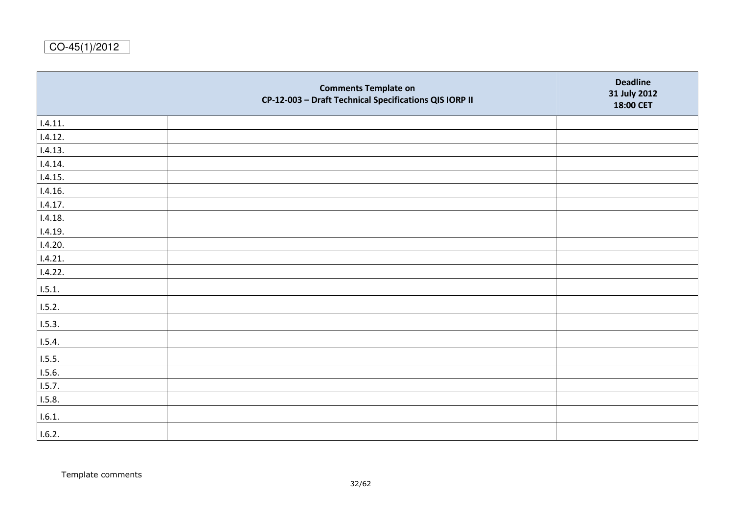|         | <b>Comments Template on</b><br>CP-12-003 - Draft Technical Specifications QIS IORP II | <b>Deadline</b><br>31 July 2012<br>18:00 CET |
|---------|---------------------------------------------------------------------------------------|----------------------------------------------|
| 1.4.11. |                                                                                       |                                              |
| 1.4.12. |                                                                                       |                                              |
| 1.4.13. |                                                                                       |                                              |
| 1.4.14. |                                                                                       |                                              |
| 1.4.15. |                                                                                       |                                              |
| 1.4.16. |                                                                                       |                                              |
| 1.4.17. |                                                                                       |                                              |
| 1.4.18. |                                                                                       |                                              |
| 1.4.19. |                                                                                       |                                              |
| 1.4.20. |                                                                                       |                                              |
| 1.4.21. |                                                                                       |                                              |
| 1.4.22. |                                                                                       |                                              |
| 1.5.1.  |                                                                                       |                                              |
| 1.5.2.  |                                                                                       |                                              |
| 1.5.3.  |                                                                                       |                                              |
| 1.5.4.  |                                                                                       |                                              |
| 1.5.5.  |                                                                                       |                                              |
| 1.5.6.  |                                                                                       |                                              |
| 1.5.7.  |                                                                                       |                                              |
| 1.5.8.  |                                                                                       |                                              |
| 1.6.1.  |                                                                                       |                                              |
| 1.6.2.  |                                                                                       |                                              |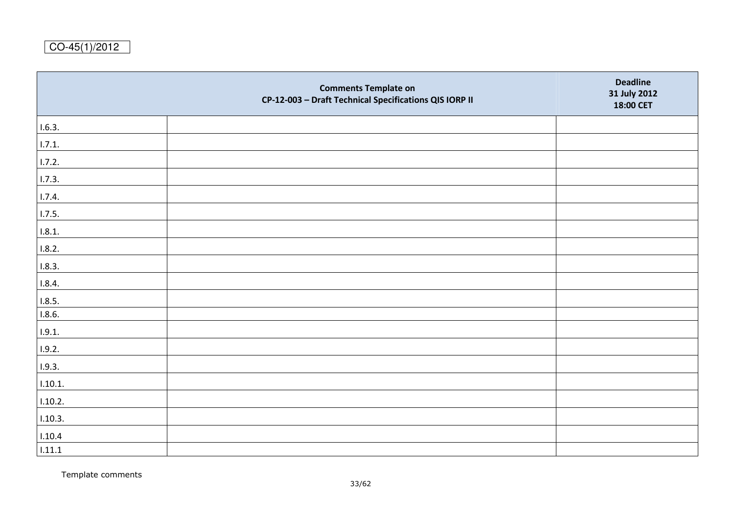|         | <b>Comments Template on</b><br>CP-12-003 - Draft Technical Specifications QIS IORP II | <b>Deadline</b><br>31 July 2012<br>18:00 CET |
|---------|---------------------------------------------------------------------------------------|----------------------------------------------|
| 1.6.3.  |                                                                                       |                                              |
| 1.7.1.  |                                                                                       |                                              |
| 1.7.2.  |                                                                                       |                                              |
| 1.7.3.  |                                                                                       |                                              |
| 1.7.4.  |                                                                                       |                                              |
| 1.7.5.  |                                                                                       |                                              |
| 1.8.1.  |                                                                                       |                                              |
| 1.8.2.  |                                                                                       |                                              |
| 1.8.3.  |                                                                                       |                                              |
| 1.8.4.  |                                                                                       |                                              |
| 1.8.5.  |                                                                                       |                                              |
| 1.8.6   |                                                                                       |                                              |
| 1.9.1.  |                                                                                       |                                              |
| 1.9.2.  |                                                                                       |                                              |
| 1.9.3.  |                                                                                       |                                              |
| 1.10.1. |                                                                                       |                                              |
| 1.10.2. |                                                                                       |                                              |
| 1.10.3. |                                                                                       |                                              |
| 1.10.4  |                                                                                       |                                              |
| 1.11.1  |                                                                                       |                                              |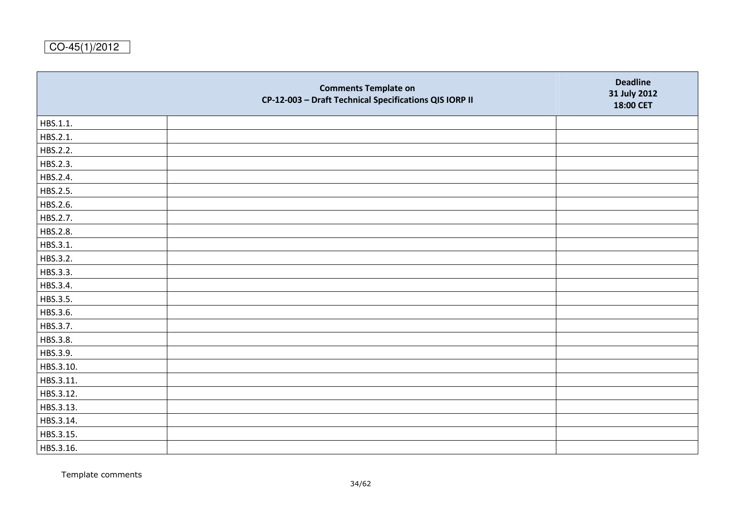|           | <b>Comments Template on</b><br>CP-12-003 - Draft Technical Specifications QIS IORP II | <b>Deadline</b><br>31 July 2012<br>18:00 CET |
|-----------|---------------------------------------------------------------------------------------|----------------------------------------------|
| HBS.1.1.  |                                                                                       |                                              |
| HBS.2.1.  |                                                                                       |                                              |
| HBS.2.2.  |                                                                                       |                                              |
| HBS.2.3.  |                                                                                       |                                              |
| HBS.2.4.  |                                                                                       |                                              |
| HBS.2.5.  |                                                                                       |                                              |
| HBS.2.6.  |                                                                                       |                                              |
| HBS.2.7.  |                                                                                       |                                              |
| HBS.2.8.  |                                                                                       |                                              |
| HBS.3.1.  |                                                                                       |                                              |
| HBS.3.2.  |                                                                                       |                                              |
| HBS.3.3.  |                                                                                       |                                              |
| HBS.3.4.  |                                                                                       |                                              |
| HBS.3.5.  |                                                                                       |                                              |
| HBS.3.6.  |                                                                                       |                                              |
| HBS.3.7.  |                                                                                       |                                              |
| HBS.3.8.  |                                                                                       |                                              |
| HBS.3.9.  |                                                                                       |                                              |
| HBS.3.10. |                                                                                       |                                              |
| HBS.3.11. |                                                                                       |                                              |
| HBS.3.12. |                                                                                       |                                              |
| HBS.3.13. |                                                                                       |                                              |
| HBS.3.14. |                                                                                       |                                              |
| HBS.3.15. |                                                                                       |                                              |
| HBS.3.16. |                                                                                       |                                              |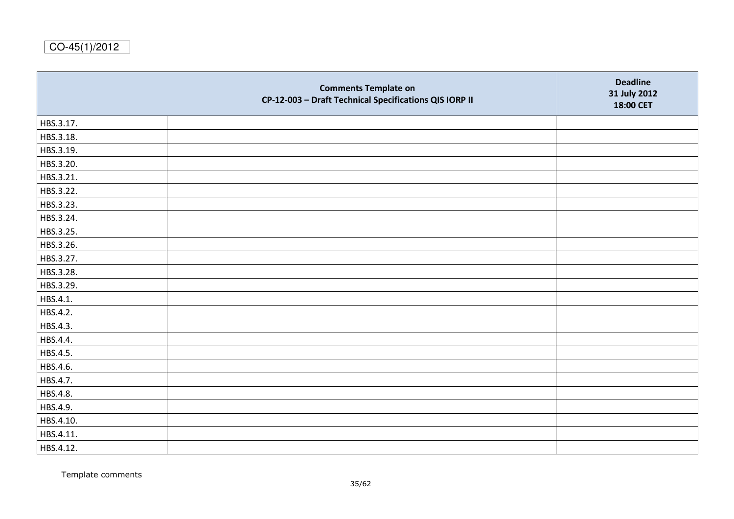|           | <b>Comments Template on</b><br>CP-12-003 - Draft Technical Specifications QIS IORP II | <b>Deadline</b><br>31 July 2012<br>18:00 CET |
|-----------|---------------------------------------------------------------------------------------|----------------------------------------------|
| HBS.3.17. |                                                                                       |                                              |
| HBS.3.18. |                                                                                       |                                              |
| HBS.3.19. |                                                                                       |                                              |
| HBS.3.20. |                                                                                       |                                              |
| HBS.3.21. |                                                                                       |                                              |
| HBS.3.22. |                                                                                       |                                              |
| HBS.3.23. |                                                                                       |                                              |
| HBS.3.24. |                                                                                       |                                              |
| HBS.3.25. |                                                                                       |                                              |
| HBS.3.26. |                                                                                       |                                              |
| HBS.3.27. |                                                                                       |                                              |
| HBS.3.28. |                                                                                       |                                              |
| HBS.3.29. |                                                                                       |                                              |
| HBS.4.1.  |                                                                                       |                                              |
| HBS.4.2.  |                                                                                       |                                              |
| HBS.4.3.  |                                                                                       |                                              |
| HBS.4.4.  |                                                                                       |                                              |
| HBS.4.5.  |                                                                                       |                                              |
| HBS.4.6.  |                                                                                       |                                              |
| HBS.4.7.  |                                                                                       |                                              |
| HBS.4.8.  |                                                                                       |                                              |
| HBS.4.9.  |                                                                                       |                                              |
| HBS.4.10. |                                                                                       |                                              |
| HBS.4.11. |                                                                                       |                                              |
| HBS.4.12. |                                                                                       |                                              |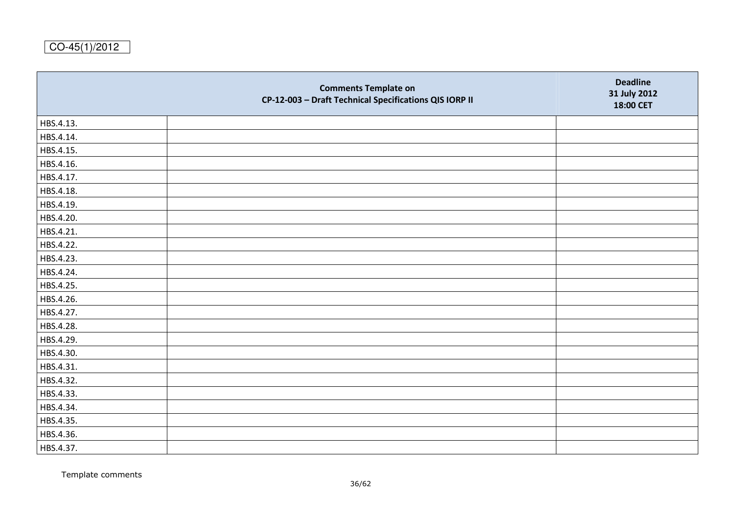|           | <b>Comments Template on</b><br>CP-12-003 - Draft Technical Specifications QIS IORP II | <b>Deadline</b><br>31 July 2012<br>18:00 CET |
|-----------|---------------------------------------------------------------------------------------|----------------------------------------------|
| HBS.4.13. |                                                                                       |                                              |
| HBS.4.14. |                                                                                       |                                              |
| HBS.4.15. |                                                                                       |                                              |
| HBS.4.16. |                                                                                       |                                              |
| HBS.4.17. |                                                                                       |                                              |
| HBS.4.18. |                                                                                       |                                              |
| HBS.4.19. |                                                                                       |                                              |
| HBS.4.20. |                                                                                       |                                              |
| HBS.4.21. |                                                                                       |                                              |
| HBS.4.22. |                                                                                       |                                              |
| HBS.4.23. |                                                                                       |                                              |
| HBS.4.24. |                                                                                       |                                              |
| HBS.4.25. |                                                                                       |                                              |
| HBS.4.26. |                                                                                       |                                              |
| HBS.4.27. |                                                                                       |                                              |
| HBS.4.28. |                                                                                       |                                              |
| HBS.4.29. |                                                                                       |                                              |
| HBS.4.30. |                                                                                       |                                              |
| HBS.4.31. |                                                                                       |                                              |
| HBS.4.32. |                                                                                       |                                              |
| HBS.4.33. |                                                                                       |                                              |
| HBS.4.34. |                                                                                       |                                              |
| HBS.4.35. |                                                                                       |                                              |
| HBS.4.36. |                                                                                       |                                              |
| HBS.4.37. |                                                                                       |                                              |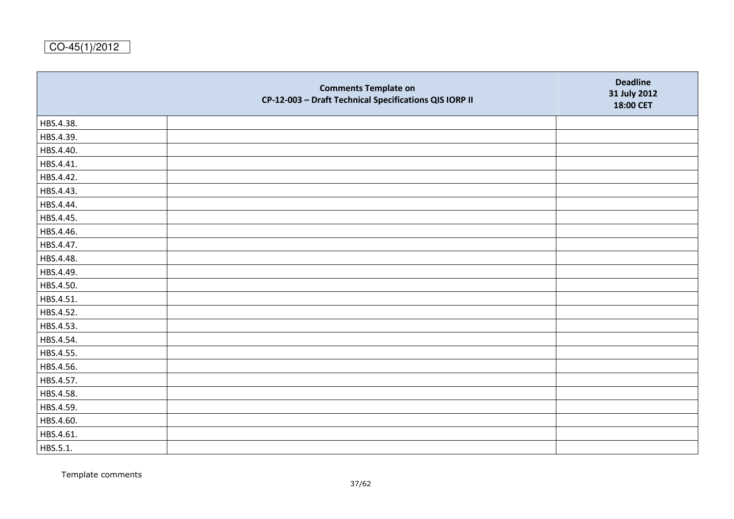|           | <b>Comments Template on</b><br>CP-12-003 - Draft Technical Specifications QIS IORP II | <b>Deadline</b><br>31 July 2012<br>18:00 CET |
|-----------|---------------------------------------------------------------------------------------|----------------------------------------------|
| HBS.4.38. |                                                                                       |                                              |
| HBS.4.39. |                                                                                       |                                              |
| HBS.4.40. |                                                                                       |                                              |
| HBS.4.41. |                                                                                       |                                              |
| HBS.4.42. |                                                                                       |                                              |
| HBS.4.43. |                                                                                       |                                              |
| HBS.4.44. |                                                                                       |                                              |
| HBS.4.45. |                                                                                       |                                              |
| HBS.4.46. |                                                                                       |                                              |
| HBS.4.47. |                                                                                       |                                              |
| HBS.4.48. |                                                                                       |                                              |
| HBS.4.49. |                                                                                       |                                              |
| HBS.4.50. |                                                                                       |                                              |
| HBS.4.51. |                                                                                       |                                              |
| HBS.4.52. |                                                                                       |                                              |
| HBS.4.53. |                                                                                       |                                              |
| HBS.4.54. |                                                                                       |                                              |
| HBS.4.55. |                                                                                       |                                              |
| HBS.4.56. |                                                                                       |                                              |
| HBS.4.57. |                                                                                       |                                              |
| HBS.4.58. |                                                                                       |                                              |
| HBS.4.59. |                                                                                       |                                              |
| HBS.4.60. |                                                                                       |                                              |
| HBS.4.61. |                                                                                       |                                              |
| HBS.5.1.  |                                                                                       |                                              |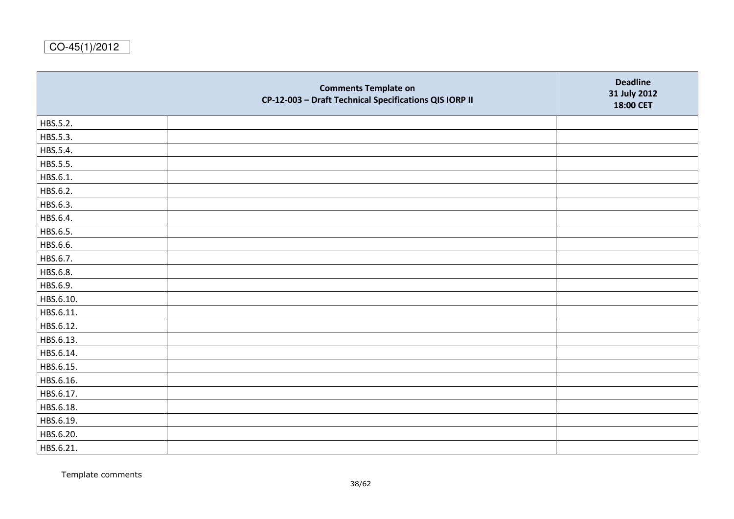|           | <b>Comments Template on</b><br>CP-12-003 - Draft Technical Specifications QIS IORP II | <b>Deadline</b><br>31 July 2012<br>18:00 CET |
|-----------|---------------------------------------------------------------------------------------|----------------------------------------------|
| HBS.5.2.  |                                                                                       |                                              |
| HBS.5.3.  |                                                                                       |                                              |
| HBS.5.4.  |                                                                                       |                                              |
| HBS.5.5.  |                                                                                       |                                              |
| HBS.6.1.  |                                                                                       |                                              |
| HBS.6.2.  |                                                                                       |                                              |
| HBS.6.3.  |                                                                                       |                                              |
| HBS.6.4.  |                                                                                       |                                              |
| HBS.6.5.  |                                                                                       |                                              |
| HBS.6.6.  |                                                                                       |                                              |
| HBS.6.7.  |                                                                                       |                                              |
| HBS.6.8.  |                                                                                       |                                              |
| HBS.6.9.  |                                                                                       |                                              |
| HBS.6.10. |                                                                                       |                                              |
| HBS.6.11. |                                                                                       |                                              |
| HBS.6.12. |                                                                                       |                                              |
| HBS.6.13. |                                                                                       |                                              |
| HBS.6.14. |                                                                                       |                                              |
| HBS.6.15. |                                                                                       |                                              |
| HBS.6.16. |                                                                                       |                                              |
| HBS.6.17. |                                                                                       |                                              |
| HBS.6.18. |                                                                                       |                                              |
| HBS.6.19. |                                                                                       |                                              |
| HBS.6.20. |                                                                                       |                                              |
| HBS.6.21. |                                                                                       |                                              |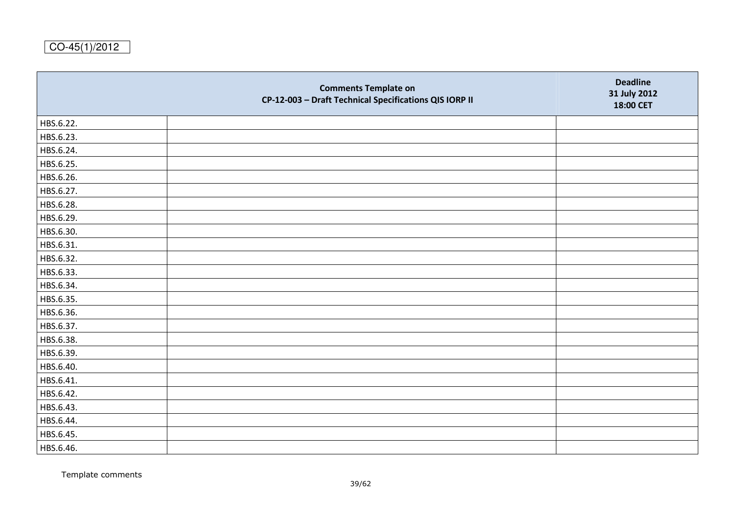|           | <b>Comments Template on</b><br>CP-12-003 - Draft Technical Specifications QIS IORP II | <b>Deadline</b><br>31 July 2012<br>18:00 CET |
|-----------|---------------------------------------------------------------------------------------|----------------------------------------------|
| HBS.6.22. |                                                                                       |                                              |
| HBS.6.23. |                                                                                       |                                              |
| HBS.6.24. |                                                                                       |                                              |
| HBS.6.25. |                                                                                       |                                              |
| HBS.6.26. |                                                                                       |                                              |
| HBS.6.27. |                                                                                       |                                              |
| HBS.6.28. |                                                                                       |                                              |
| HBS.6.29. |                                                                                       |                                              |
| HBS.6.30. |                                                                                       |                                              |
| HBS.6.31. |                                                                                       |                                              |
| HBS.6.32. |                                                                                       |                                              |
| HBS.6.33. |                                                                                       |                                              |
| HBS.6.34. |                                                                                       |                                              |
| HBS.6.35. |                                                                                       |                                              |
| HBS.6.36. |                                                                                       |                                              |
| HBS.6.37. |                                                                                       |                                              |
| HBS.6.38. |                                                                                       |                                              |
| HBS.6.39. |                                                                                       |                                              |
| HBS.6.40. |                                                                                       |                                              |
| HBS.6.41. |                                                                                       |                                              |
| HBS.6.42. |                                                                                       |                                              |
| HBS.6.43. |                                                                                       |                                              |
| HBS.6.44. |                                                                                       |                                              |
| HBS.6.45. |                                                                                       |                                              |
| HBS.6.46. |                                                                                       |                                              |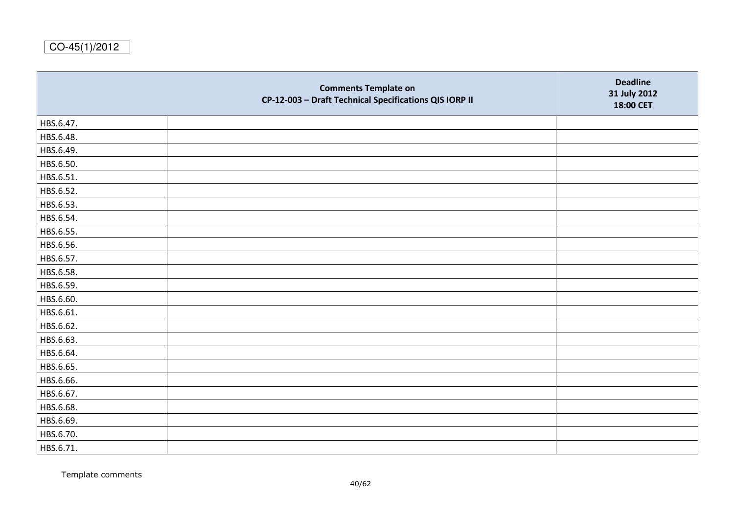|           | <b>Comments Template on</b><br>CP-12-003 - Draft Technical Specifications QIS IORP II | <b>Deadline</b><br>31 July 2012<br>18:00 CET |
|-----------|---------------------------------------------------------------------------------------|----------------------------------------------|
| HBS.6.47. |                                                                                       |                                              |
| HBS.6.48. |                                                                                       |                                              |
| HBS.6.49. |                                                                                       |                                              |
| HBS.6.50. |                                                                                       |                                              |
| HBS.6.51. |                                                                                       |                                              |
| HBS.6.52. |                                                                                       |                                              |
| HBS.6.53. |                                                                                       |                                              |
| HBS.6.54. |                                                                                       |                                              |
| HBS.6.55. |                                                                                       |                                              |
| HBS.6.56. |                                                                                       |                                              |
| HBS.6.57. |                                                                                       |                                              |
| HBS.6.58. |                                                                                       |                                              |
| HBS.6.59. |                                                                                       |                                              |
| HBS.6.60. |                                                                                       |                                              |
| HBS.6.61. |                                                                                       |                                              |
| HBS.6.62. |                                                                                       |                                              |
| HBS.6.63. |                                                                                       |                                              |
| HBS.6.64. |                                                                                       |                                              |
| HBS.6.65. |                                                                                       |                                              |
| HBS.6.66. |                                                                                       |                                              |
| HBS.6.67. |                                                                                       |                                              |
| HBS.6.68. |                                                                                       |                                              |
| HBS.6.69. |                                                                                       |                                              |
| HBS.6.70. |                                                                                       |                                              |
| HBS.6.71. |                                                                                       |                                              |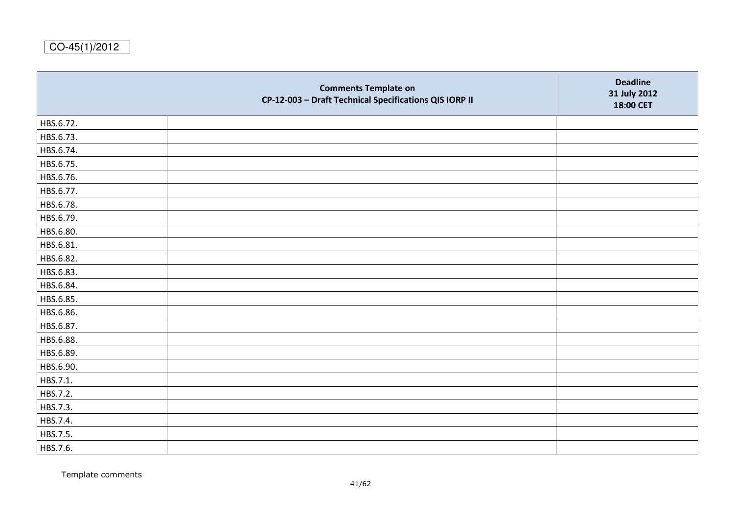|           | <b>Comments Template on</b><br>CP-12-003 - Draft Technical Specifications QIS IORP II | <b>Deadline</b><br>31 July 2012<br>18:00 CET |
|-----------|---------------------------------------------------------------------------------------|----------------------------------------------|
| HBS.6.72. |                                                                                       |                                              |
| HBS.6.73. |                                                                                       |                                              |
| HBS.6.74. |                                                                                       |                                              |
| HBS.6.75. |                                                                                       |                                              |
| HBS.6.76. |                                                                                       |                                              |
| HBS.6.77. |                                                                                       |                                              |
| HBS.6.78. |                                                                                       |                                              |
| HBS.6.79. |                                                                                       |                                              |
| HBS.6.80. |                                                                                       |                                              |
| HBS.6.81. |                                                                                       |                                              |
| HBS.6.82. |                                                                                       |                                              |
| HBS.6.83. |                                                                                       |                                              |
| HBS.6.84. |                                                                                       |                                              |
| HBS.6.85. |                                                                                       |                                              |
| HBS.6.86. |                                                                                       |                                              |
| HBS.6.87. |                                                                                       |                                              |
| HBS.6.88. |                                                                                       |                                              |
| HBS.6.89. |                                                                                       |                                              |
| HBS.6.90. |                                                                                       |                                              |
| HBS.7.1.  |                                                                                       |                                              |
| HBS.7.2.  |                                                                                       |                                              |
| HBS.7.3.  |                                                                                       |                                              |
| HBS.7.4.  |                                                                                       |                                              |
| HBS.7.5.  |                                                                                       |                                              |
| HBS.7.6.  |                                                                                       |                                              |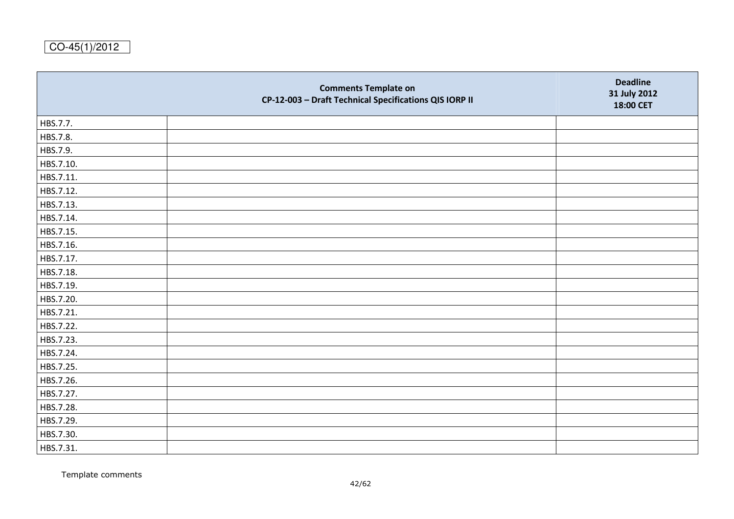|           | <b>Comments Template on</b><br>CP-12-003 - Draft Technical Specifications QIS IORP II | <b>Deadline</b><br>31 July 2012<br>18:00 CET |
|-----------|---------------------------------------------------------------------------------------|----------------------------------------------|
| HBS.7.7.  |                                                                                       |                                              |
| HBS.7.8.  |                                                                                       |                                              |
| HBS.7.9.  |                                                                                       |                                              |
| HBS.7.10. |                                                                                       |                                              |
| HBS.7.11. |                                                                                       |                                              |
| HBS.7.12. |                                                                                       |                                              |
| HBS.7.13. |                                                                                       |                                              |
| HBS.7.14. |                                                                                       |                                              |
| HBS.7.15. |                                                                                       |                                              |
| HBS.7.16. |                                                                                       |                                              |
| HBS.7.17. |                                                                                       |                                              |
| HBS.7.18. |                                                                                       |                                              |
| HBS.7.19. |                                                                                       |                                              |
| HBS.7.20. |                                                                                       |                                              |
| HBS.7.21. |                                                                                       |                                              |
| HBS.7.22. |                                                                                       |                                              |
| HBS.7.23. |                                                                                       |                                              |
| HBS.7.24. |                                                                                       |                                              |
| HBS.7.25. |                                                                                       |                                              |
| HBS.7.26. |                                                                                       |                                              |
| HBS.7.27. |                                                                                       |                                              |
| HBS.7.28. |                                                                                       |                                              |
| HBS.7.29. |                                                                                       |                                              |
| HBS.7.30. |                                                                                       |                                              |
| HBS.7.31. |                                                                                       |                                              |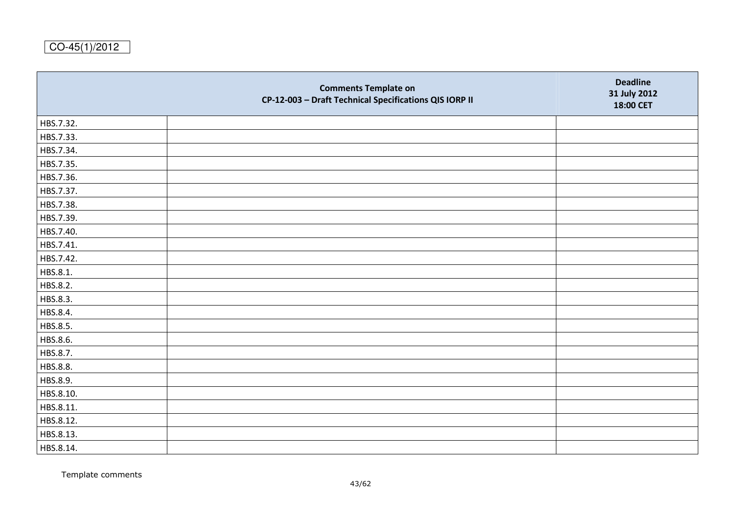|           | <b>Comments Template on</b><br>CP-12-003 - Draft Technical Specifications QIS IORP II | <b>Deadline</b><br>31 July 2012<br>18:00 CET |
|-----------|---------------------------------------------------------------------------------------|----------------------------------------------|
| HBS.7.32. |                                                                                       |                                              |
| HBS.7.33. |                                                                                       |                                              |
| HBS.7.34. |                                                                                       |                                              |
| HBS.7.35. |                                                                                       |                                              |
| HBS.7.36. |                                                                                       |                                              |
| HBS.7.37. |                                                                                       |                                              |
| HBS.7.38. |                                                                                       |                                              |
| HBS.7.39. |                                                                                       |                                              |
| HBS.7.40. |                                                                                       |                                              |
| HBS.7.41. |                                                                                       |                                              |
| HBS.7.42. |                                                                                       |                                              |
| HBS.8.1.  |                                                                                       |                                              |
| HBS.8.2.  |                                                                                       |                                              |
| HBS.8.3.  |                                                                                       |                                              |
| HBS.8.4.  |                                                                                       |                                              |
| HBS.8.5.  |                                                                                       |                                              |
| HBS.8.6.  |                                                                                       |                                              |
| HBS.8.7.  |                                                                                       |                                              |
| HBS.8.8.  |                                                                                       |                                              |
| HBS.8.9.  |                                                                                       |                                              |
| HBS.8.10. |                                                                                       |                                              |
| HBS.8.11. |                                                                                       |                                              |
| HBS.8.12. |                                                                                       |                                              |
| HBS.8.13. |                                                                                       |                                              |
| HBS.8.14. |                                                                                       |                                              |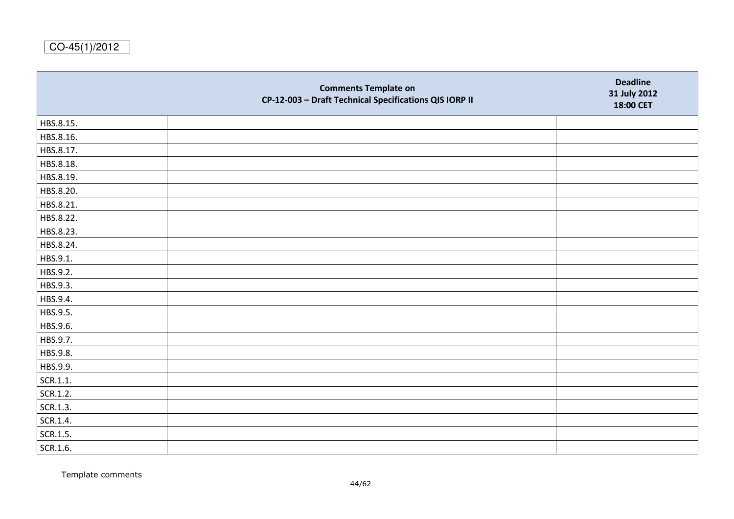|           | <b>Comments Template on</b><br>CP-12-003 - Draft Technical Specifications QIS IORP II | <b>Deadline</b><br>31 July 2012<br>18:00 CET |
|-----------|---------------------------------------------------------------------------------------|----------------------------------------------|
| HBS.8.15. |                                                                                       |                                              |
| HBS.8.16. |                                                                                       |                                              |
| HBS.8.17. |                                                                                       |                                              |
| HBS.8.18. |                                                                                       |                                              |
| HBS.8.19. |                                                                                       |                                              |
| HBS.8.20. |                                                                                       |                                              |
| HBS.8.21. |                                                                                       |                                              |
| HBS.8.22. |                                                                                       |                                              |
| HBS.8.23. |                                                                                       |                                              |
| HBS.8.24. |                                                                                       |                                              |
| HBS.9.1.  |                                                                                       |                                              |
| HBS.9.2.  |                                                                                       |                                              |
| HBS.9.3.  |                                                                                       |                                              |
| HBS.9.4.  |                                                                                       |                                              |
| HBS.9.5.  |                                                                                       |                                              |
| HBS.9.6.  |                                                                                       |                                              |
| HBS.9.7.  |                                                                                       |                                              |
| HBS.9.8.  |                                                                                       |                                              |
| HBS.9.9.  |                                                                                       |                                              |
| SCR.1.1.  |                                                                                       |                                              |
| SCR.1.2.  |                                                                                       |                                              |
| SCR.1.3.  |                                                                                       |                                              |
| SCR.1.4.  |                                                                                       |                                              |
| SCR.1.5.  |                                                                                       |                                              |
| SCR.1.6.  |                                                                                       |                                              |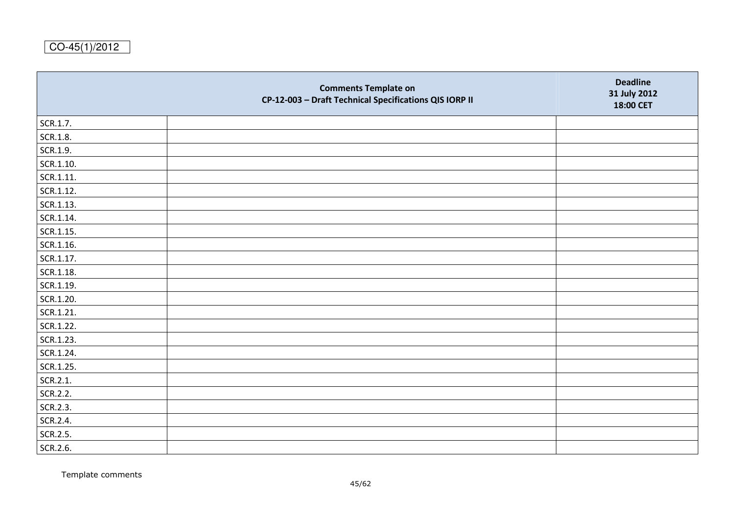|           | <b>Comments Template on</b><br>CP-12-003 - Draft Technical Specifications QIS IORP II | <b>Deadline</b><br>31 July 2012<br>18:00 CET |
|-----------|---------------------------------------------------------------------------------------|----------------------------------------------|
| SCR.1.7.  |                                                                                       |                                              |
| SCR.1.8.  |                                                                                       |                                              |
| SCR.1.9.  |                                                                                       |                                              |
| SCR.1.10. |                                                                                       |                                              |
| SCR.1.11. |                                                                                       |                                              |
| SCR.1.12. |                                                                                       |                                              |
| SCR.1.13. |                                                                                       |                                              |
| SCR.1.14. |                                                                                       |                                              |
| SCR.1.15. |                                                                                       |                                              |
| SCR.1.16. |                                                                                       |                                              |
| SCR.1.17. |                                                                                       |                                              |
| SCR.1.18. |                                                                                       |                                              |
| SCR.1.19. |                                                                                       |                                              |
| SCR.1.20. |                                                                                       |                                              |
| SCR.1.21. |                                                                                       |                                              |
| SCR.1.22. |                                                                                       |                                              |
| SCR.1.23. |                                                                                       |                                              |
| SCR.1.24. |                                                                                       |                                              |
| SCR.1.25. |                                                                                       |                                              |
| SCR.2.1.  |                                                                                       |                                              |
| SCR.2.2.  |                                                                                       |                                              |
| SCR.2.3.  |                                                                                       |                                              |
| SCR.2.4.  |                                                                                       |                                              |
| SCR.2.5.  |                                                                                       |                                              |
| SCR.2.6.  |                                                                                       |                                              |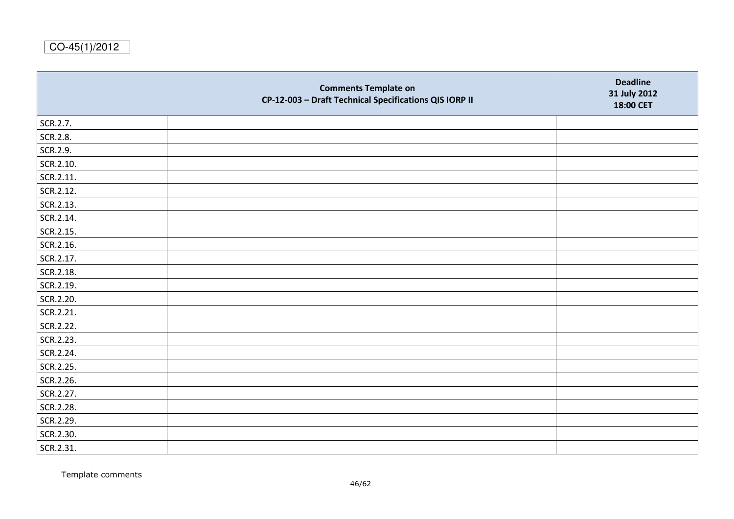|           | <b>Comments Template on</b><br>CP-12-003 - Draft Technical Specifications QIS IORP II | <b>Deadline</b><br>31 July 2012<br>18:00 CET |
|-----------|---------------------------------------------------------------------------------------|----------------------------------------------|
| SCR.2.7.  |                                                                                       |                                              |
| SCR.2.8.  |                                                                                       |                                              |
| SCR.2.9.  |                                                                                       |                                              |
| SCR.2.10. |                                                                                       |                                              |
| SCR.2.11. |                                                                                       |                                              |
| SCR.2.12. |                                                                                       |                                              |
| SCR.2.13. |                                                                                       |                                              |
| SCR.2.14. |                                                                                       |                                              |
| SCR.2.15. |                                                                                       |                                              |
| SCR.2.16. |                                                                                       |                                              |
| SCR.2.17. |                                                                                       |                                              |
| SCR.2.18. |                                                                                       |                                              |
| SCR.2.19. |                                                                                       |                                              |
| SCR.2.20. |                                                                                       |                                              |
| SCR.2.21. |                                                                                       |                                              |
| SCR.2.22. |                                                                                       |                                              |
| SCR.2.23. |                                                                                       |                                              |
| SCR.2.24. |                                                                                       |                                              |
| SCR.2.25. |                                                                                       |                                              |
| SCR.2.26. |                                                                                       |                                              |
| SCR.2.27. |                                                                                       |                                              |
| SCR.2.28. |                                                                                       |                                              |
| SCR.2.29. |                                                                                       |                                              |
| SCR.2.30. |                                                                                       |                                              |
| SCR.2.31. |                                                                                       |                                              |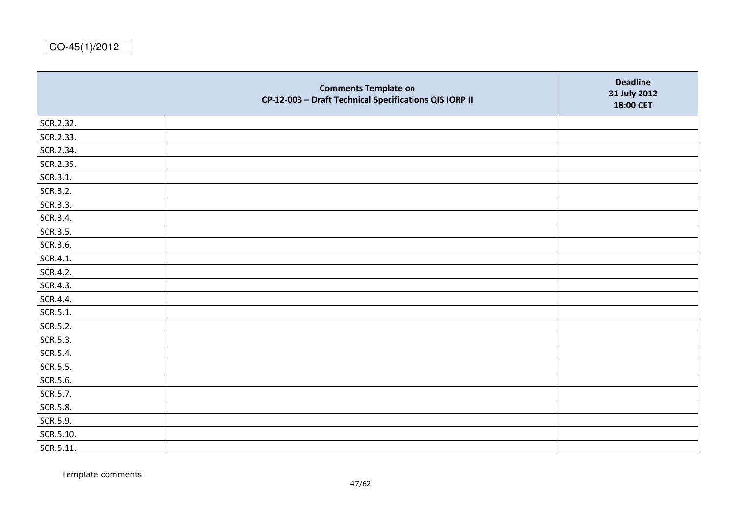|           | <b>Comments Template on</b><br>CP-12-003 - Draft Technical Specifications QIS IORP II | <b>Deadline</b><br>31 July 2012<br>18:00 CET |
|-----------|---------------------------------------------------------------------------------------|----------------------------------------------|
| SCR.2.32. |                                                                                       |                                              |
| SCR.2.33. |                                                                                       |                                              |
| SCR.2.34. |                                                                                       |                                              |
| SCR.2.35. |                                                                                       |                                              |
| SCR.3.1.  |                                                                                       |                                              |
| SCR.3.2.  |                                                                                       |                                              |
| SCR.3.3.  |                                                                                       |                                              |
| SCR.3.4.  |                                                                                       |                                              |
| SCR.3.5.  |                                                                                       |                                              |
| SCR.3.6.  |                                                                                       |                                              |
| SCR.4.1.  |                                                                                       |                                              |
| SCR.4.2.  |                                                                                       |                                              |
| SCR.4.3.  |                                                                                       |                                              |
| SCR.4.4.  |                                                                                       |                                              |
| SCR.5.1.  |                                                                                       |                                              |
| SCR.5.2.  |                                                                                       |                                              |
| SCR.5.3.  |                                                                                       |                                              |
| SCR.5.4.  |                                                                                       |                                              |
| SCR.5.5.  |                                                                                       |                                              |
| SCR.5.6.  |                                                                                       |                                              |
| SCR.5.7.  |                                                                                       |                                              |
| SCR.5.8.  |                                                                                       |                                              |
| SCR.5.9.  |                                                                                       |                                              |
| SCR.5.10. |                                                                                       |                                              |
| SCR.5.11. |                                                                                       |                                              |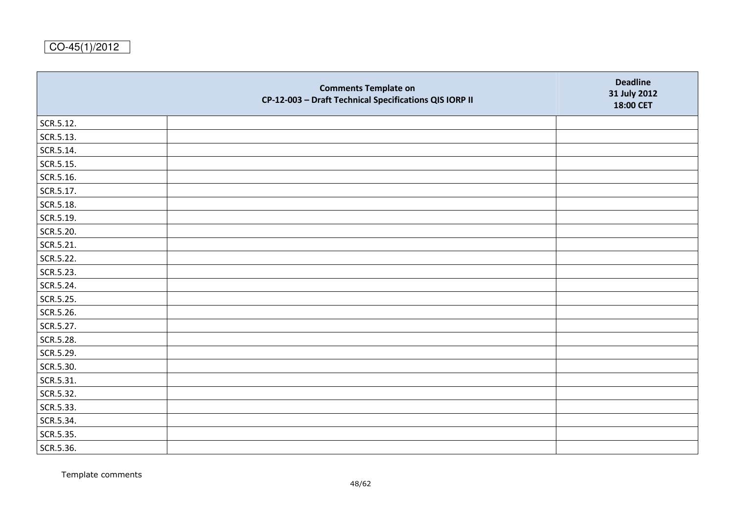|           | <b>Comments Template on</b><br>CP-12-003 - Draft Technical Specifications QIS IORP II | <b>Deadline</b><br>31 July 2012<br>18:00 CET |
|-----------|---------------------------------------------------------------------------------------|----------------------------------------------|
| SCR.5.12. |                                                                                       |                                              |
| SCR.5.13. |                                                                                       |                                              |
| SCR.5.14. |                                                                                       |                                              |
| SCR.5.15. |                                                                                       |                                              |
| SCR.5.16. |                                                                                       |                                              |
| SCR.5.17. |                                                                                       |                                              |
| SCR.5.18. |                                                                                       |                                              |
| SCR.5.19. |                                                                                       |                                              |
| SCR.5.20. |                                                                                       |                                              |
| SCR.5.21. |                                                                                       |                                              |
| SCR.5.22. |                                                                                       |                                              |
| SCR.5.23. |                                                                                       |                                              |
| SCR.5.24. |                                                                                       |                                              |
| SCR.5.25. |                                                                                       |                                              |
| SCR.5.26. |                                                                                       |                                              |
| SCR.5.27. |                                                                                       |                                              |
| SCR.5.28. |                                                                                       |                                              |
| SCR.5.29. |                                                                                       |                                              |
| SCR.5.30. |                                                                                       |                                              |
| SCR.5.31. |                                                                                       |                                              |
| SCR.5.32. |                                                                                       |                                              |
| SCR.5.33. |                                                                                       |                                              |
| SCR.5.34. |                                                                                       |                                              |
| SCR.5.35. |                                                                                       |                                              |
| SCR.5.36. |                                                                                       |                                              |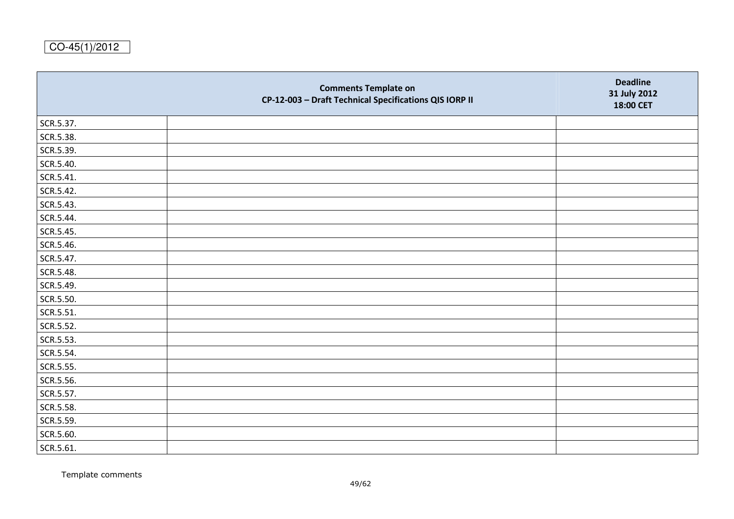|           | <b>Comments Template on</b><br>CP-12-003 - Draft Technical Specifications QIS IORP II | <b>Deadline</b><br>31 July 2012<br>18:00 CET |
|-----------|---------------------------------------------------------------------------------------|----------------------------------------------|
| SCR.5.37. |                                                                                       |                                              |
| SCR.5.38. |                                                                                       |                                              |
| SCR.5.39. |                                                                                       |                                              |
| SCR.5.40. |                                                                                       |                                              |
| SCR.5.41. |                                                                                       |                                              |
| SCR.5.42. |                                                                                       |                                              |
| SCR.5.43. |                                                                                       |                                              |
| SCR.5.44. |                                                                                       |                                              |
| SCR.5.45. |                                                                                       |                                              |
| SCR.5.46. |                                                                                       |                                              |
| SCR.5.47. |                                                                                       |                                              |
| SCR.5.48. |                                                                                       |                                              |
| SCR.5.49. |                                                                                       |                                              |
| SCR.5.50. |                                                                                       |                                              |
| SCR.5.51. |                                                                                       |                                              |
| SCR.5.52. |                                                                                       |                                              |
| SCR.5.53. |                                                                                       |                                              |
| SCR.5.54. |                                                                                       |                                              |
| SCR.5.55. |                                                                                       |                                              |
| SCR.5.56. |                                                                                       |                                              |
| SCR.5.57. |                                                                                       |                                              |
| SCR.5.58. |                                                                                       |                                              |
| SCR.5.59. |                                                                                       |                                              |
| SCR.5.60. |                                                                                       |                                              |
| SCR.5.61. |                                                                                       |                                              |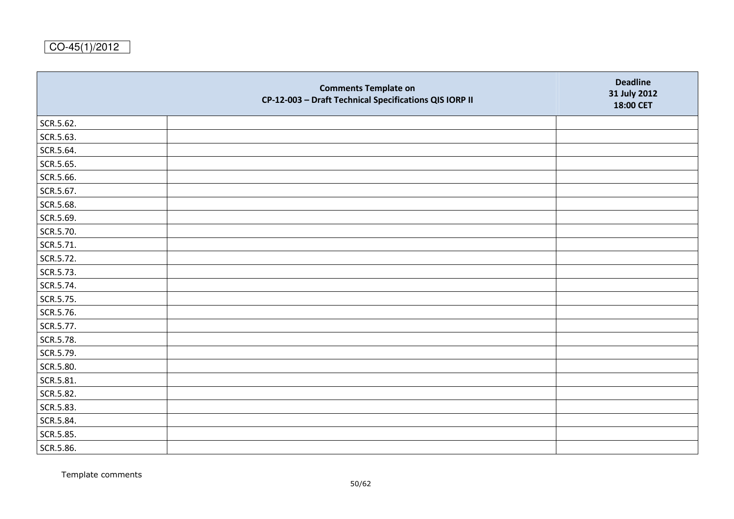|           | <b>Comments Template on</b><br>CP-12-003 - Draft Technical Specifications QIS IORP II | <b>Deadline</b><br>31 July 2012<br>18:00 CET |
|-----------|---------------------------------------------------------------------------------------|----------------------------------------------|
| SCR.5.62. |                                                                                       |                                              |
| SCR.5.63. |                                                                                       |                                              |
| SCR.5.64. |                                                                                       |                                              |
| SCR.5.65. |                                                                                       |                                              |
| SCR.5.66. |                                                                                       |                                              |
| SCR.5.67. |                                                                                       |                                              |
| SCR.5.68. |                                                                                       |                                              |
| SCR.5.69. |                                                                                       |                                              |
| SCR.5.70. |                                                                                       |                                              |
| SCR.5.71. |                                                                                       |                                              |
| SCR.5.72. |                                                                                       |                                              |
| SCR.5.73. |                                                                                       |                                              |
| SCR.5.74. |                                                                                       |                                              |
| SCR.5.75. |                                                                                       |                                              |
| SCR.5.76. |                                                                                       |                                              |
| SCR.5.77. |                                                                                       |                                              |
| SCR.5.78. |                                                                                       |                                              |
| SCR.5.79. |                                                                                       |                                              |
| SCR.5.80. |                                                                                       |                                              |
| SCR.5.81. |                                                                                       |                                              |
| SCR.5.82. |                                                                                       |                                              |
| SCR.5.83. |                                                                                       |                                              |
| SCR.5.84. |                                                                                       |                                              |
| SCR.5.85. |                                                                                       |                                              |
| SCR.5.86. |                                                                                       |                                              |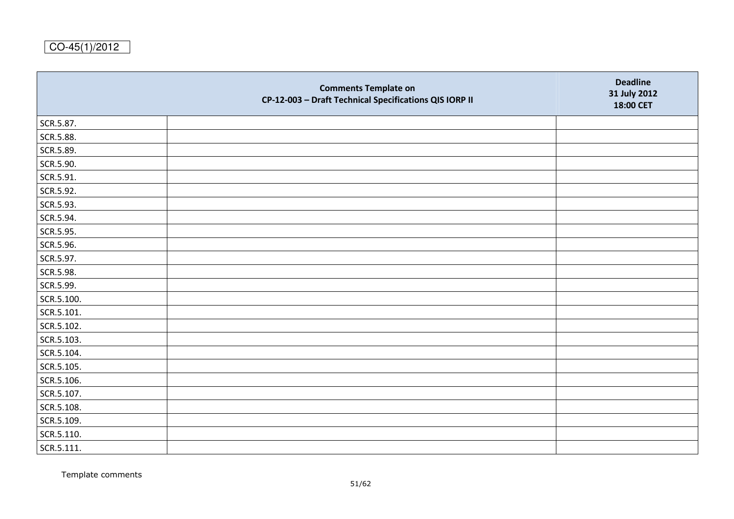|            | <b>Comments Template on</b><br>CP-12-003 - Draft Technical Specifications QIS IORP II | <b>Deadline</b><br>31 July 2012<br>18:00 CET |
|------------|---------------------------------------------------------------------------------------|----------------------------------------------|
| SCR.5.87.  |                                                                                       |                                              |
| SCR.5.88.  |                                                                                       |                                              |
| SCR.5.89.  |                                                                                       |                                              |
| SCR.5.90.  |                                                                                       |                                              |
| SCR.5.91.  |                                                                                       |                                              |
| SCR.5.92.  |                                                                                       |                                              |
| SCR.5.93.  |                                                                                       |                                              |
| SCR.5.94.  |                                                                                       |                                              |
| SCR.5.95.  |                                                                                       |                                              |
| SCR.5.96.  |                                                                                       |                                              |
| SCR.5.97.  |                                                                                       |                                              |
| SCR.5.98.  |                                                                                       |                                              |
| SCR.5.99.  |                                                                                       |                                              |
| SCR.5.100. |                                                                                       |                                              |
| SCR.5.101. |                                                                                       |                                              |
| SCR.5.102. |                                                                                       |                                              |
| SCR.5.103. |                                                                                       |                                              |
| SCR.5.104. |                                                                                       |                                              |
| SCR.5.105. |                                                                                       |                                              |
| SCR.5.106. |                                                                                       |                                              |
| SCR.5.107. |                                                                                       |                                              |
| SCR.5.108. |                                                                                       |                                              |
| SCR.5.109. |                                                                                       |                                              |
| SCR.5.110. |                                                                                       |                                              |
| SCR.5.111. |                                                                                       |                                              |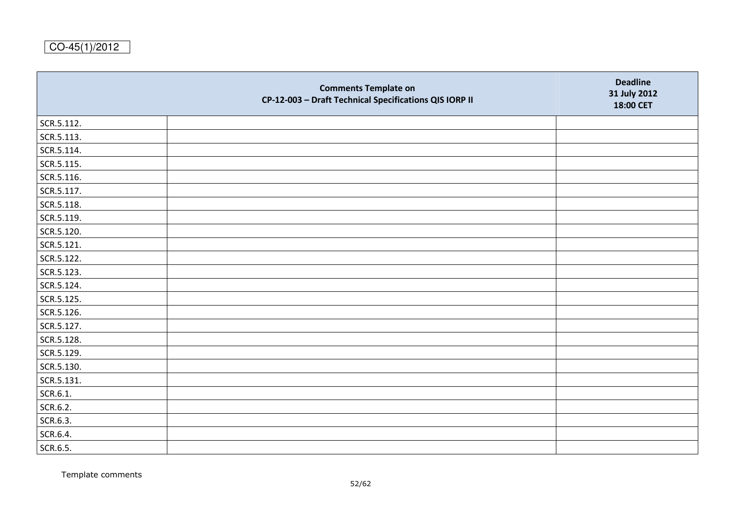|            | <b>Comments Template on</b><br>CP-12-003 - Draft Technical Specifications QIS IORP II | <b>Deadline</b><br>31 July 2012<br>18:00 CET |
|------------|---------------------------------------------------------------------------------------|----------------------------------------------|
| SCR.5.112. |                                                                                       |                                              |
| SCR.5.113. |                                                                                       |                                              |
| SCR.5.114. |                                                                                       |                                              |
| SCR.5.115. |                                                                                       |                                              |
| SCR.5.116. |                                                                                       |                                              |
| SCR.5.117. |                                                                                       |                                              |
| SCR.5.118. |                                                                                       |                                              |
| SCR.5.119. |                                                                                       |                                              |
| SCR.5.120. |                                                                                       |                                              |
| SCR.5.121. |                                                                                       |                                              |
| SCR.5.122. |                                                                                       |                                              |
| SCR.5.123. |                                                                                       |                                              |
| SCR.5.124. |                                                                                       |                                              |
| SCR.5.125. |                                                                                       |                                              |
| SCR.5.126. |                                                                                       |                                              |
| SCR.5.127. |                                                                                       |                                              |
| SCR.5.128. |                                                                                       |                                              |
| SCR.5.129. |                                                                                       |                                              |
| SCR.5.130. |                                                                                       |                                              |
| SCR.5.131. |                                                                                       |                                              |
| SCR.6.1.   |                                                                                       |                                              |
| SCR.6.2.   |                                                                                       |                                              |
| SCR.6.3.   |                                                                                       |                                              |
| SCR.6.4.   |                                                                                       |                                              |
| SCR.6.5.   |                                                                                       |                                              |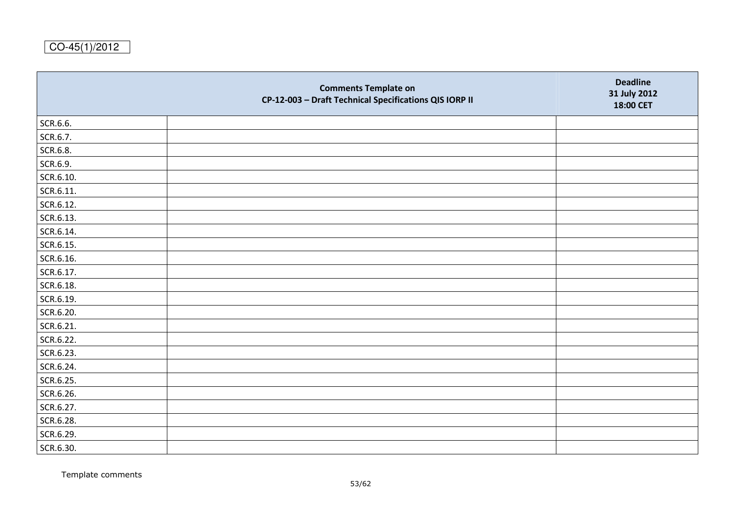|           | <b>Comments Template on</b><br>CP-12-003 - Draft Technical Specifications QIS IORP II | <b>Deadline</b><br>31 July 2012<br>18:00 CET |
|-----------|---------------------------------------------------------------------------------------|----------------------------------------------|
| SCR.6.6.  |                                                                                       |                                              |
| SCR.6.7.  |                                                                                       |                                              |
| SCR.6.8.  |                                                                                       |                                              |
| SCR.6.9.  |                                                                                       |                                              |
| SCR.6.10. |                                                                                       |                                              |
| SCR.6.11. |                                                                                       |                                              |
| SCR.6.12. |                                                                                       |                                              |
| SCR.6.13. |                                                                                       |                                              |
| SCR.6.14. |                                                                                       |                                              |
| SCR.6.15. |                                                                                       |                                              |
| SCR.6.16. |                                                                                       |                                              |
| SCR.6.17. |                                                                                       |                                              |
| SCR.6.18. |                                                                                       |                                              |
| SCR.6.19. |                                                                                       |                                              |
| SCR.6.20. |                                                                                       |                                              |
| SCR.6.21. |                                                                                       |                                              |
| SCR.6.22. |                                                                                       |                                              |
| SCR.6.23. |                                                                                       |                                              |
| SCR.6.24. |                                                                                       |                                              |
| SCR.6.25. |                                                                                       |                                              |
| SCR.6.26. |                                                                                       |                                              |
| SCR.6.27. |                                                                                       |                                              |
| SCR.6.28. |                                                                                       |                                              |
| SCR.6.29. |                                                                                       |                                              |
| SCR.6.30. |                                                                                       |                                              |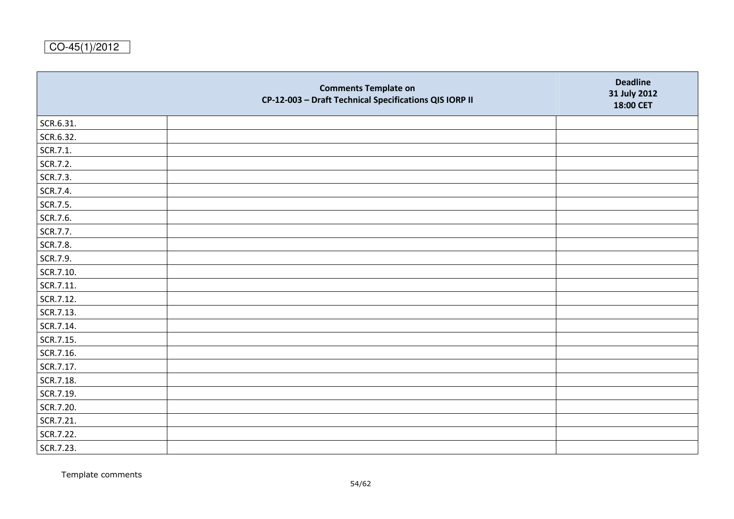|           | <b>Comments Template on</b><br>CP-12-003 - Draft Technical Specifications QIS IORP II | <b>Deadline</b><br>31 July 2012<br>18:00 CET |
|-----------|---------------------------------------------------------------------------------------|----------------------------------------------|
| SCR.6.31. |                                                                                       |                                              |
| SCR.6.32. |                                                                                       |                                              |
| SCR.7.1.  |                                                                                       |                                              |
| SCR.7.2.  |                                                                                       |                                              |
| SCR.7.3.  |                                                                                       |                                              |
| SCR.7.4.  |                                                                                       |                                              |
| SCR.7.5.  |                                                                                       |                                              |
| SCR.7.6.  |                                                                                       |                                              |
| SCR.7.7.  |                                                                                       |                                              |
| SCR.7.8.  |                                                                                       |                                              |
| SCR.7.9.  |                                                                                       |                                              |
| SCR.7.10. |                                                                                       |                                              |
| SCR.7.11. |                                                                                       |                                              |
| SCR.7.12. |                                                                                       |                                              |
| SCR.7.13. |                                                                                       |                                              |
| SCR.7.14. |                                                                                       |                                              |
| SCR.7.15. |                                                                                       |                                              |
| SCR.7.16. |                                                                                       |                                              |
| SCR.7.17. |                                                                                       |                                              |
| SCR.7.18. |                                                                                       |                                              |
| SCR.7.19. |                                                                                       |                                              |
| SCR.7.20. |                                                                                       |                                              |
| SCR.7.21. |                                                                                       |                                              |
| SCR.7.22. |                                                                                       |                                              |
| SCR.7.23. |                                                                                       |                                              |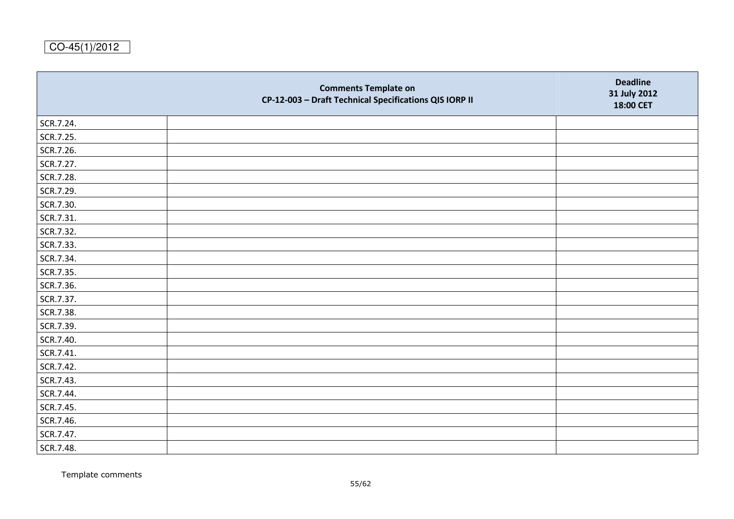|           | <b>Comments Template on</b><br>CP-12-003 - Draft Technical Specifications QIS IORP II | <b>Deadline</b><br>31 July 2012<br>18:00 CET |
|-----------|---------------------------------------------------------------------------------------|----------------------------------------------|
| SCR.7.24. |                                                                                       |                                              |
| SCR.7.25. |                                                                                       |                                              |
| SCR.7.26. |                                                                                       |                                              |
| SCR.7.27. |                                                                                       |                                              |
| SCR.7.28. |                                                                                       |                                              |
| SCR.7.29. |                                                                                       |                                              |
| SCR.7.30. |                                                                                       |                                              |
| SCR.7.31. |                                                                                       |                                              |
| SCR.7.32. |                                                                                       |                                              |
| SCR.7.33. |                                                                                       |                                              |
| SCR.7.34. |                                                                                       |                                              |
| SCR.7.35. |                                                                                       |                                              |
| SCR.7.36. |                                                                                       |                                              |
| SCR.7.37. |                                                                                       |                                              |
| SCR.7.38. |                                                                                       |                                              |
| SCR.7.39. |                                                                                       |                                              |
| SCR.7.40. |                                                                                       |                                              |
| SCR.7.41. |                                                                                       |                                              |
| SCR.7.42. |                                                                                       |                                              |
| SCR.7.43. |                                                                                       |                                              |
| SCR.7.44. |                                                                                       |                                              |
| SCR.7.45. |                                                                                       |                                              |
| SCR.7.46. |                                                                                       |                                              |
| SCR.7.47. |                                                                                       |                                              |
| SCR.7.48. |                                                                                       |                                              |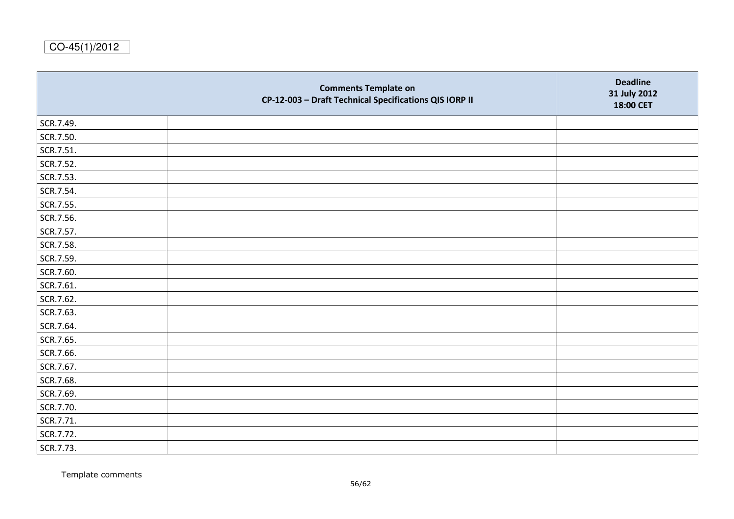|           | <b>Comments Template on</b><br>CP-12-003 - Draft Technical Specifications QIS IORP II | <b>Deadline</b><br>31 July 2012<br>18:00 CET |
|-----------|---------------------------------------------------------------------------------------|----------------------------------------------|
| SCR.7.49. |                                                                                       |                                              |
| SCR.7.50. |                                                                                       |                                              |
| SCR.7.51. |                                                                                       |                                              |
| SCR.7.52. |                                                                                       |                                              |
| SCR.7.53. |                                                                                       |                                              |
| SCR.7.54. |                                                                                       |                                              |
| SCR.7.55. |                                                                                       |                                              |
| SCR.7.56. |                                                                                       |                                              |
| SCR.7.57. |                                                                                       |                                              |
| SCR.7.58. |                                                                                       |                                              |
| SCR.7.59. |                                                                                       |                                              |
| SCR.7.60. |                                                                                       |                                              |
| SCR.7.61. |                                                                                       |                                              |
| SCR.7.62. |                                                                                       |                                              |
| SCR.7.63. |                                                                                       |                                              |
| SCR.7.64. |                                                                                       |                                              |
| SCR.7.65. |                                                                                       |                                              |
| SCR.7.66. |                                                                                       |                                              |
| SCR.7.67. |                                                                                       |                                              |
| SCR.7.68. |                                                                                       |                                              |
| SCR.7.69. |                                                                                       |                                              |
| SCR.7.70. |                                                                                       |                                              |
| SCR.7.71. |                                                                                       |                                              |
| SCR.7.72. |                                                                                       |                                              |
| SCR.7.73. |                                                                                       |                                              |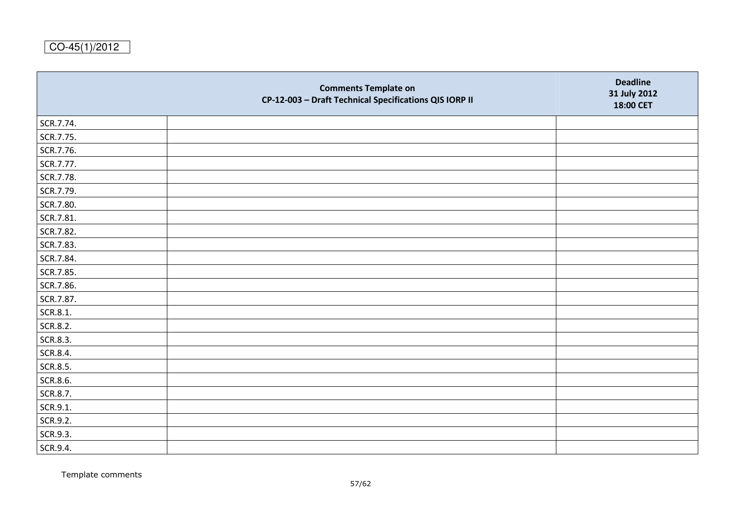|           | <b>Comments Template on</b><br>CP-12-003 - Draft Technical Specifications QIS IORP II | <b>Deadline</b><br>31 July 2012<br>18:00 CET |
|-----------|---------------------------------------------------------------------------------------|----------------------------------------------|
| SCR.7.74. |                                                                                       |                                              |
| SCR.7.75. |                                                                                       |                                              |
| SCR.7.76. |                                                                                       |                                              |
| SCR.7.77. |                                                                                       |                                              |
| SCR.7.78. |                                                                                       |                                              |
| SCR.7.79. |                                                                                       |                                              |
| SCR.7.80. |                                                                                       |                                              |
| SCR.7.81. |                                                                                       |                                              |
| SCR.7.82. |                                                                                       |                                              |
| SCR.7.83. |                                                                                       |                                              |
| SCR.7.84. |                                                                                       |                                              |
| SCR.7.85. |                                                                                       |                                              |
| SCR.7.86. |                                                                                       |                                              |
| SCR.7.87. |                                                                                       |                                              |
| SCR.8.1.  |                                                                                       |                                              |
| SCR.8.2.  |                                                                                       |                                              |
| SCR.8.3.  |                                                                                       |                                              |
| SCR.8.4.  |                                                                                       |                                              |
| SCR.8.5.  |                                                                                       |                                              |
| SCR.8.6.  |                                                                                       |                                              |
| SCR.8.7.  |                                                                                       |                                              |
| SCR.9.1.  |                                                                                       |                                              |
| SCR.9.2.  |                                                                                       |                                              |
| SCR.9.3.  |                                                                                       |                                              |
| SCR.9.4.  |                                                                                       |                                              |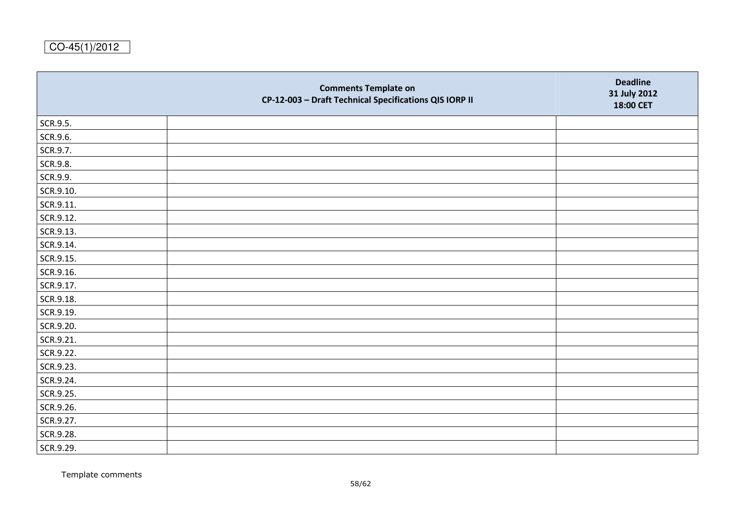|           | <b>Comments Template on</b><br>CP-12-003 - Draft Technical Specifications QIS IORP II | <b>Deadline</b><br>31 July 2012<br>18:00 CET |
|-----------|---------------------------------------------------------------------------------------|----------------------------------------------|
| SCR.9.5.  |                                                                                       |                                              |
| SCR.9.6.  |                                                                                       |                                              |
| SCR.9.7.  |                                                                                       |                                              |
| SCR.9.8.  |                                                                                       |                                              |
| SCR.9.9.  |                                                                                       |                                              |
| SCR.9.10. |                                                                                       |                                              |
| SCR.9.11. |                                                                                       |                                              |
| SCR.9.12. |                                                                                       |                                              |
| SCR.9.13. |                                                                                       |                                              |
| SCR.9.14. |                                                                                       |                                              |
| SCR.9.15. |                                                                                       |                                              |
| SCR.9.16. |                                                                                       |                                              |
| SCR.9.17. |                                                                                       |                                              |
| SCR.9.18. |                                                                                       |                                              |
| SCR.9.19. |                                                                                       |                                              |
| SCR.9.20. |                                                                                       |                                              |
| SCR.9.21. |                                                                                       |                                              |
| SCR.9.22. |                                                                                       |                                              |
| SCR.9.23. |                                                                                       |                                              |
| SCR.9.24. |                                                                                       |                                              |
| SCR.9.25. |                                                                                       |                                              |
| SCR.9.26. |                                                                                       |                                              |
| SCR.9.27. |                                                                                       |                                              |
| SCR.9.28. |                                                                                       |                                              |
| SCR.9.29. |                                                                                       |                                              |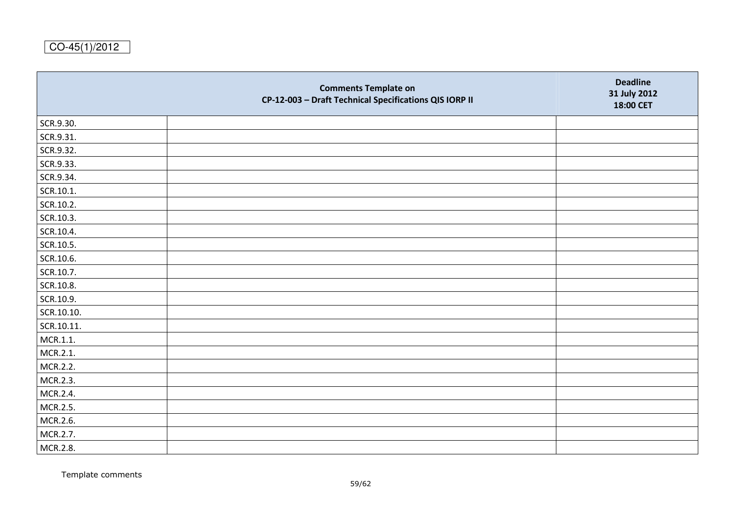|            | <b>Comments Template on</b><br>CP-12-003 - Draft Technical Specifications QIS IORP II | <b>Deadline</b><br>31 July 2012<br>18:00 CET |
|------------|---------------------------------------------------------------------------------------|----------------------------------------------|
| SCR.9.30.  |                                                                                       |                                              |
| SCR.9.31.  |                                                                                       |                                              |
| SCR.9.32.  |                                                                                       |                                              |
| SCR.9.33.  |                                                                                       |                                              |
| SCR.9.34.  |                                                                                       |                                              |
| SCR.10.1.  |                                                                                       |                                              |
| SCR.10.2.  |                                                                                       |                                              |
| SCR.10.3.  |                                                                                       |                                              |
| SCR.10.4.  |                                                                                       |                                              |
| SCR.10.5.  |                                                                                       |                                              |
| SCR.10.6.  |                                                                                       |                                              |
| SCR.10.7.  |                                                                                       |                                              |
| SCR.10.8.  |                                                                                       |                                              |
| SCR.10.9.  |                                                                                       |                                              |
| SCR.10.10. |                                                                                       |                                              |
| SCR.10.11. |                                                                                       |                                              |
| MCR.1.1.   |                                                                                       |                                              |
| MCR.2.1.   |                                                                                       |                                              |
| MCR.2.2.   |                                                                                       |                                              |
| MCR.2.3.   |                                                                                       |                                              |
| MCR.2.4.   |                                                                                       |                                              |
| MCR.2.5.   |                                                                                       |                                              |
| MCR.2.6.   |                                                                                       |                                              |
| MCR.2.7.   |                                                                                       |                                              |
| MCR.2.8.   |                                                                                       |                                              |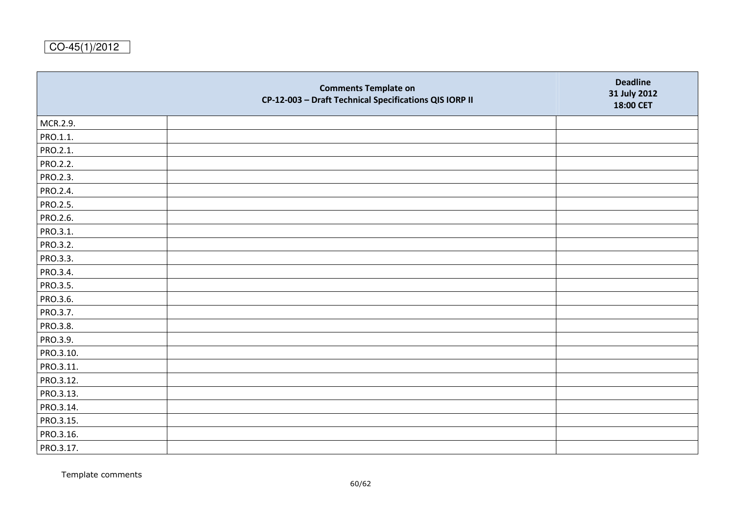|           | <b>Comments Template on</b><br>CP-12-003 - Draft Technical Specifications QIS IORP II | <b>Deadline</b><br>31 July 2012<br>18:00 CET |
|-----------|---------------------------------------------------------------------------------------|----------------------------------------------|
| MCR.2.9.  |                                                                                       |                                              |
| PRO.1.1.  |                                                                                       |                                              |
| PRO.2.1.  |                                                                                       |                                              |
| PRO.2.2.  |                                                                                       |                                              |
| PRO.2.3.  |                                                                                       |                                              |
| PRO.2.4.  |                                                                                       |                                              |
| PRO.2.5.  |                                                                                       |                                              |
| PRO.2.6.  |                                                                                       |                                              |
| PRO.3.1.  |                                                                                       |                                              |
| PRO.3.2.  |                                                                                       |                                              |
| PRO.3.3.  |                                                                                       |                                              |
| PRO.3.4.  |                                                                                       |                                              |
| PRO.3.5.  |                                                                                       |                                              |
| PRO.3.6.  |                                                                                       |                                              |
| PRO.3.7.  |                                                                                       |                                              |
| PRO.3.8.  |                                                                                       |                                              |
| PRO.3.9.  |                                                                                       |                                              |
| PRO.3.10. |                                                                                       |                                              |
| PRO.3.11. |                                                                                       |                                              |
| PRO.3.12. |                                                                                       |                                              |
| PRO.3.13. |                                                                                       |                                              |
| PRO.3.14. |                                                                                       |                                              |
| PRO.3.15. |                                                                                       |                                              |
| PRO.3.16. |                                                                                       |                                              |
| PRO.3.17. |                                                                                       |                                              |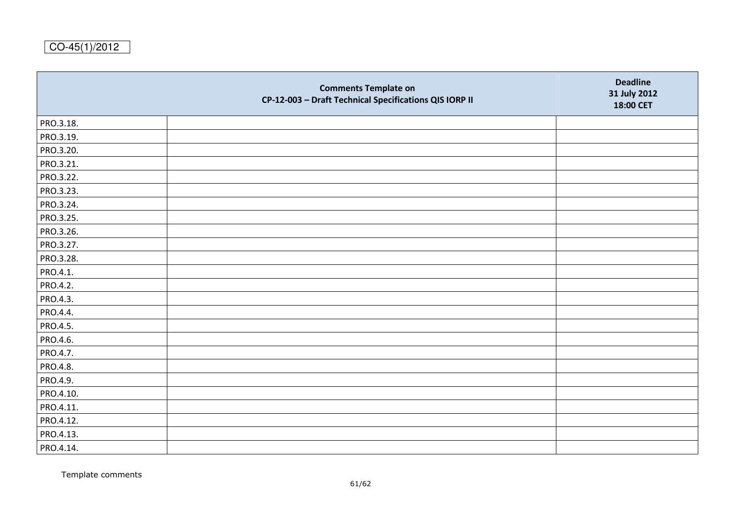|           | <b>Comments Template on</b><br>CP-12-003 - Draft Technical Specifications QIS IORP II | <b>Deadline</b><br>31 July 2012<br>18:00 CET |
|-----------|---------------------------------------------------------------------------------------|----------------------------------------------|
| PRO.3.18. |                                                                                       |                                              |
| PRO.3.19. |                                                                                       |                                              |
| PRO.3.20. |                                                                                       |                                              |
| PRO.3.21. |                                                                                       |                                              |
| PRO.3.22. |                                                                                       |                                              |
| PRO.3.23. |                                                                                       |                                              |
| PRO.3.24. |                                                                                       |                                              |
| PRO.3.25. |                                                                                       |                                              |
| PRO.3.26. |                                                                                       |                                              |
| PRO.3.27. |                                                                                       |                                              |
| PRO.3.28. |                                                                                       |                                              |
| PRO.4.1.  |                                                                                       |                                              |
| PRO.4.2.  |                                                                                       |                                              |
| PRO.4.3.  |                                                                                       |                                              |
| PRO.4.4.  |                                                                                       |                                              |
| PRO.4.5.  |                                                                                       |                                              |
| PRO.4.6.  |                                                                                       |                                              |
| PRO.4.7.  |                                                                                       |                                              |
| PRO.4.8.  |                                                                                       |                                              |
| PRO.4.9.  |                                                                                       |                                              |
| PRO.4.10. |                                                                                       |                                              |
| PRO.4.11. |                                                                                       |                                              |
| PRO.4.12. |                                                                                       |                                              |
| PRO.4.13. |                                                                                       |                                              |
| PRO.4.14. |                                                                                       |                                              |